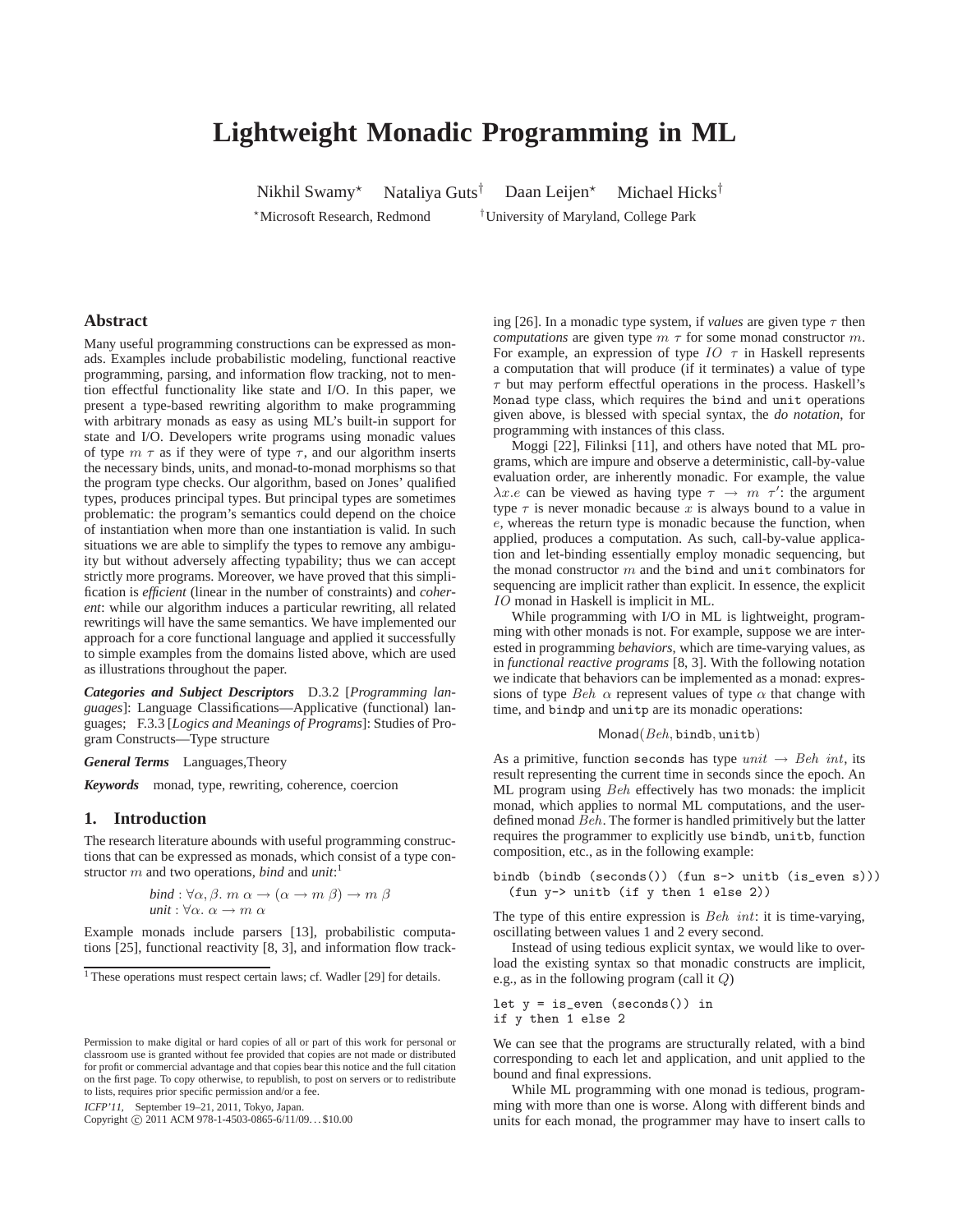# **Lightweight Monadic Programming in ML**

Nikhil Swamy<sup>\*</sup> Nataliya Guts<sup>†</sup> Daan Leijen<sup>\*</sup> Michael Hicks<sup>†</sup>

<sup>⋆</sup>Microsoft Research, Redmond †University of Maryland, College Park

# **Abstract**

Many useful programming constructions can be expressed as monads. Examples include probabilistic modeling, functional reactive programming, parsing, and information flow tracking, not to mention effectful functionality like state and I/O. In this paper, we present a type-based rewriting algorithm to make programming with arbitrary monads as easy as using ML's built-in support for state and I/O. Developers write programs using monadic values of type  $m \tau$  as if they were of type  $\tau$ , and our algorithm inserts the necessary binds, units, and monad-to-monad morphisms so that the program type checks. Our algorithm, based on Jones' qualified types, produces principal types. But principal types are sometimes problematic: the program's semantics could depend on the choice of instantiation when more than one instantiation is valid. In such situations we are able to simplify the types to remove any ambiguity but without adversely affecting typability; thus we can accept strictly more programs. Moreover, we have proved that this simplification is *efficient* (linear in the number of constraints) and *coherent*: while our algorithm induces a particular rewriting, all related rewritings will have the same semantics. We have implemented our approach for a core functional language and applied it successfully to simple examples from the domains listed above, which are used as illustrations throughout the paper.

*Categories and Subject Descriptors* D.3.2 [*Programming languages*]: Language Classifications—Applicative (functional) languages; F.3.3 [*Logics and Meanings of Programs*]: Studies of Program Constructs—Type structure

## *General Terms* Languages,Theory

*Keywords* monad, type, rewriting, coherence, coercion

## **1. Introduction**

The research literature abounds with useful programming constructions that can be expressed as monads, which consist of a type constructor m and two operations, *bind* and *unit*: 1

$$
bind: \forall \alpha, \beta. m \alpha \rightarrow (\alpha \rightarrow m \beta) \rightarrow m \beta
$$
  
unit: 
$$
\forall \alpha. \alpha \rightarrow m \alpha
$$

Example monads include parsers [13], probabilistic computations [25], functional reactivity [8, 3], and information flow track-

ICFP'11, September 19–21, 2011, Tokyo, Japan.

Copyright © 2011 ACM 978-1-4503-0865-6/11/09... \$10.00

ing [26]. In a monadic type system, if *values* are given type  $\tau$  then *computations* are given type  $m \tau$  for some monad constructor m. For example, an expression of type  $IO \tau$  in Haskell represents a computation that will produce (if it terminates) a value of type  $\tau$  but may perform effectful operations in the process. Haskell's Monad type class, which requires the bind and unit operations given above, is blessed with special syntax, the *do notation*, for programming with instances of this class.

Moggi [22], Filinksi [11], and others have noted that ML programs, which are impure and observe a deterministic, call-by-value evaluation order, are inherently monadic. For example, the value  $\lambda x.e$  can be viewed as having type  $\tau \rightarrow m \tau'$ : the argument type  $\tau$  is never monadic because x is always bound to a value in e, whereas the return type is monadic because the function, when applied, produces a computation. As such, call-by-value application and let-binding essentially employ monadic sequencing, but the monad constructor  $m$  and the bind and unit combinators for sequencing are implicit rather than explicit. In essence, the explicit IO monad in Haskell is implicit in ML.

While programming with I/O in ML is lightweight, programming with other monads is not. For example, suppose we are interested in programming *behaviors*, which are time-varying values, as in *functional reactive programs* [8, 3]. With the following notation we indicate that behaviors can be implemented as a monad: expressions of type Beh  $\alpha$  represent values of type  $\alpha$  that change with time, and bindp and unitp are its monadic operations:

#### $Monad(Beh, bindb, unitb)$

As a primitive, function seconds has type  $unit \rightarrow Beh$  int, its result representing the current time in seconds since the epoch. An ML program using Beh effectively has two monads: the implicit monad, which applies to normal ML computations, and the userdefined monad Beh. The former is handled primitively but the latter requires the programmer to explicitly use bindb, unitb, function composition, etc., as in the following example:

bindb (bindb (seconds()) (fun s-> unitb (is\_even s))) (fun y-> unitb (if y then 1 else 2))

The type of this entire expression is Beh int: it is time-varying, oscillating between values 1 and 2 every second.

Instead of using tedious explicit syntax, we would like to overload the existing syntax so that monadic constructs are implicit, e.g., as in the following program (call it Q)

let  $y = is_{even} (seconds())$  in if y then 1 else 2

We can see that the programs are structurally related, with a bind corresponding to each let and application, and unit applied to the bound and final expressions.

While ML programming with one monad is tedious, programming with more than one is worse. Along with different binds and units for each monad, the programmer may have to insert calls to

<sup>&</sup>lt;sup>1</sup> These operations must respect certain laws; cf. Wadler [29] for details.

Permission to make digital or hard copies of all or part of this work for personal or classroom use is granted without fee provided that copies are not made or distributed for profit or commercial advantage and that copies bear this notice and the full citation on the first page. To copy otherwise, to republish, to post on servers or to redistribute to lists, requires prior specific permission and/or a fee.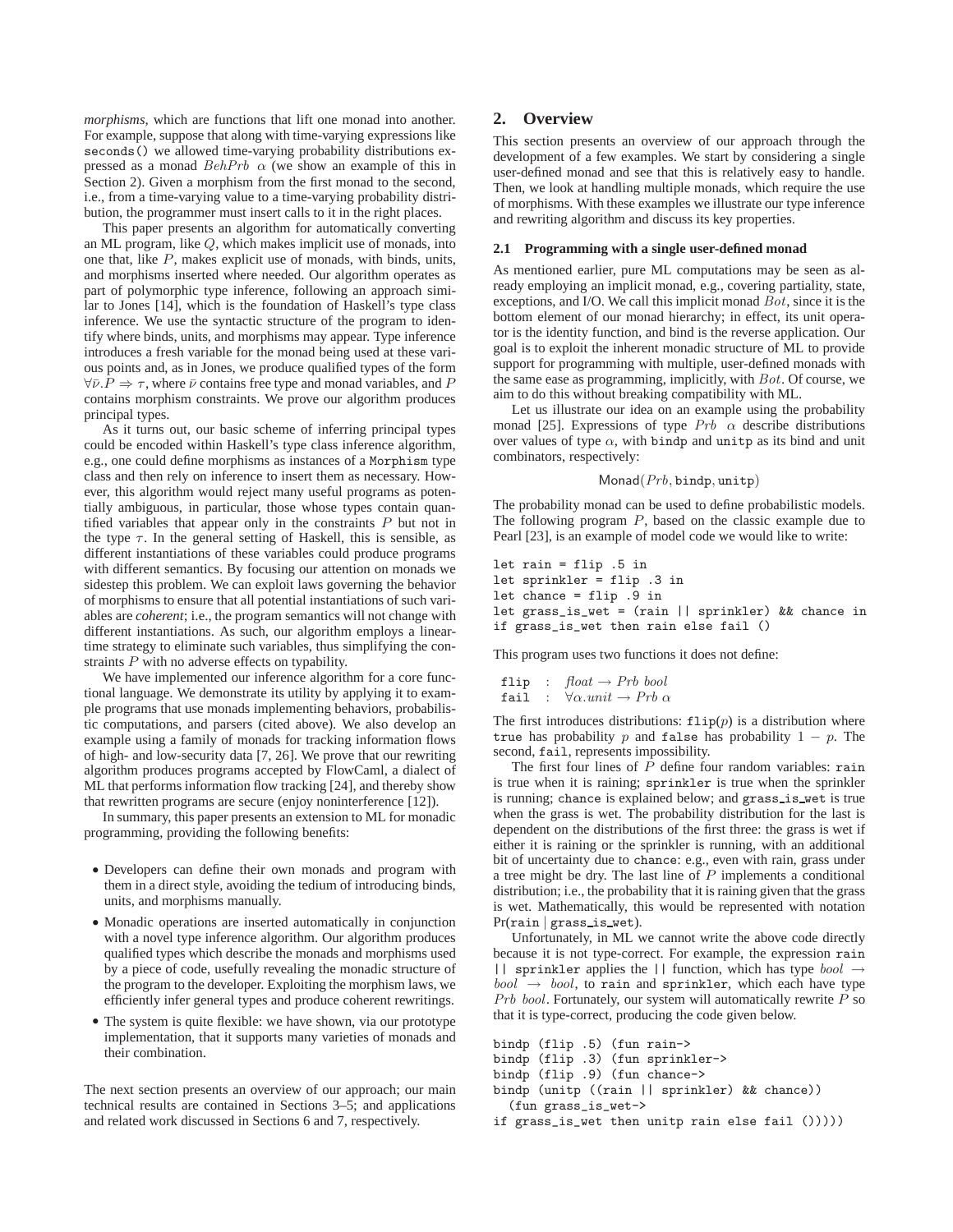*morphisms*, which are functions that lift one monad into another. For example, suppose that along with time-varying expressions like seconds() we allowed time-varying probability distributions expressed as a monad  $BehPrb \alpha$  (we show an example of this in Section 2). Given a morphism from the first monad to the second, i.e., from a time-varying value to a time-varying probability distribution, the programmer must insert calls to it in the right places.

This paper presents an algorithm for automatically converting an ML program, like Q, which makes implicit use of monads, into one that, like P, makes explicit use of monads, with binds, units, and morphisms inserted where needed. Our algorithm operates as part of polymorphic type inference, following an approach similar to Jones [14], which is the foundation of Haskell's type class inference. We use the syntactic structure of the program to identify where binds, units, and morphisms may appear. Type inference introduces a fresh variable for the monad being used at these various points and, as in Jones, we produce qualified types of the form  $\forall \bar{\nu}.\bar{P} \Rightarrow \tau$ , where  $\bar{\nu}$  contains free type and monad variables, and P contains morphism constraints. We prove our algorithm produces principal types.

As it turns out, our basic scheme of inferring principal types could be encoded within Haskell's type class inference algorithm, e.g., one could define morphisms as instances of a Morphism type class and then rely on inference to insert them as necessary. However, this algorithm would reject many useful programs as potentially ambiguous, in particular, those whose types contain quantified variables that appear only in the constraints  $P$  but not in the type  $\tau$ . In the general setting of Haskell, this is sensible, as different instantiations of these variables could produce programs with different semantics. By focusing our attention on monads we sidestep this problem. We can exploit laws governing the behavior of morphisms to ensure that all potential instantiations of such variables are *coherent*; i.e., the program semantics will not change with different instantiations. As such, our algorithm employs a lineartime strategy to eliminate such variables, thus simplifying the constraints P with no adverse effects on typability.

We have implemented our inference algorithm for a core functional language. We demonstrate its utility by applying it to example programs that use monads implementing behaviors, probabilistic computations, and parsers (cited above). We also develop an example using a family of monads for tracking information flows of high- and low-security data [7, 26]. We prove that our rewriting algorithm produces programs accepted by FlowCaml, a dialect of ML that performs information flow tracking [24], and thereby show that rewritten programs are secure (enjoy noninterference [12]).

In summary, this paper presents an extension to ML for monadic programming, providing the following benefits:

- Developers can define their own monads and program with them in a direct style, avoiding the tedium of introducing binds, units, and morphisms manually.
- Monadic operations are inserted automatically in conjunction with a novel type inference algorithm. Our algorithm produces qualified types which describe the monads and morphisms used by a piece of code, usefully revealing the monadic structure of the program to the developer. Exploiting the morphism laws, we efficiently infer general types and produce coherent rewritings.
- The system is quite flexible: we have shown, via our prototype implementation, that it supports many varieties of monads and their combination.

The next section presents an overview of our approach; our main technical results are contained in Sections 3–5; and applications and related work discussed in Sections 6 and 7, respectively.

# **2. Overview**

This section presents an overview of our approach through the development of a few examples. We start by considering a single user-defined monad and see that this is relatively easy to handle. Then, we look at handling multiple monads, which require the use of morphisms. With these examples we illustrate our type inference and rewriting algorithm and discuss its key properties.

#### **2.1 Programming with a single user-defined monad**

As mentioned earlier, pure ML computations may be seen as already employing an implicit monad, e.g., covering partiality, state, exceptions, and I/O. We call this implicit monad Bot, since it is the bottom element of our monad hierarchy; in effect, its unit operator is the identity function, and bind is the reverse application. Our goal is to exploit the inherent monadic structure of ML to provide support for programming with multiple, user-defined monads with the same ease as programming, implicitly, with Bot. Of course, we aim to do this without breaking compatibility with ML.

Let us illustrate our idea on an example using the probability monad [25]. Expressions of type  $Prb \alpha$  describe distributions over values of type  $\alpha$ , with bindp and unitp as its bind and unit combinators, respectively:

# Monad(Prb, bindp, unitp)

The probability monad can be used to define probabilistic models. The following program P, based on the classic example due to Pearl [23], is an example of model code we would like to write:

```
let rain = flip .5 in
let sprinkler = flip .3 in
let chance = flip .9 in
let grass_is_wet = (rain || sprinkler) && chance in
if grass_is_wet then rain else fail ()
```
This program uses two functions it does not define:

$$
\begin{array}{ll}\n\texttt{flip} & \text{:} \quad float \rightarrow \text{Prob} \; bool \\
\texttt{fail} & \text{:} \quad \forall \alpha \text{.unit} \rightarrow \text{Prb} \; \alpha\n\end{array}
$$

The first introduces distributions:  $f\text{Lip}(p)$  is a distribution where true has probability p and false has probability  $1 - p$ . The second, fail, represents impossibility.

The first four lines of  $\overline{P}$  define four random variables: rain is true when it is raining; sprinkler is true when the sprinkler is running; chance is explained below; and grass is wet is true when the grass is wet. The probability distribution for the last is dependent on the distributions of the first three: the grass is wet if either it is raining or the sprinkler is running, with an additional bit of uncertainty due to chance: e.g., even with rain, grass under a tree might be dry. The last line of  $P$  implements a conditional distribution; i.e., the probability that it is raining given that the grass is wet. Mathematically, this would be represented with notation  $Pr(rain | grass.iswet).$ 

Unfortunately, in ML we cannot write the above code directly because it is not type-correct. For example, the expression rain || sprinkler applies the || function, which has type  $bool \rightarrow$  $bool \rightarrow bool$ , to rain and sprinkler, which each have type  $Prob$  bool. Fortunately, our system will automatically rewrite  $P$  so that it is type-correct, producing the code given below.

bindp (flip .5) (fun rain->

- bindp (flip .3) (fun sprinkler->
- bindp (flip .9) (fun chance->
- bindp (unitp ((rain || sprinkler) && chance)) (fun grass\_is\_wet->
- if grass\_is\_wet then unitp rain else fail ()))))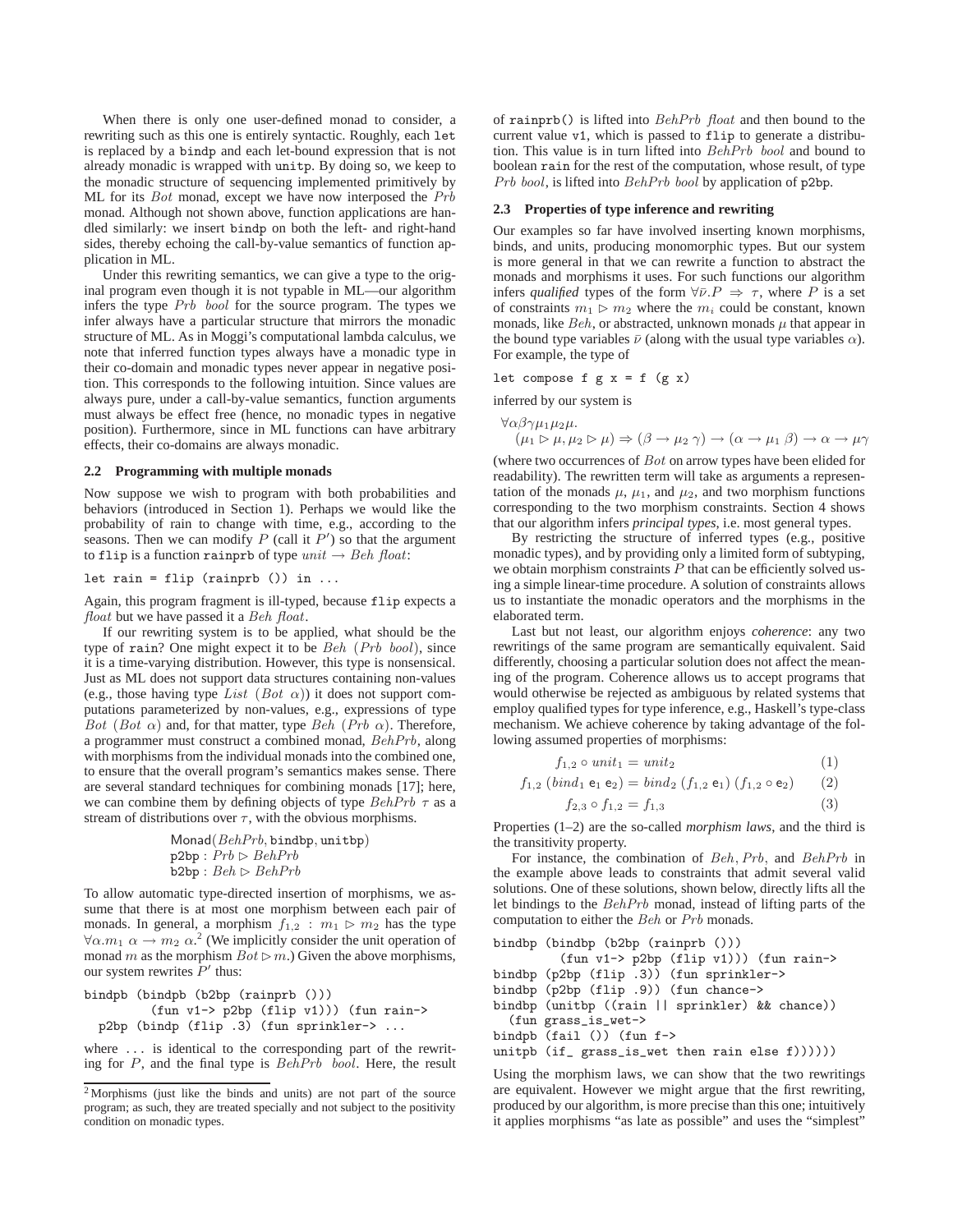When there is only one user-defined monad to consider, a rewriting such as this one is entirely syntactic. Roughly, each let is replaced by a bindp and each let-bound expression that is not already monadic is wrapped with unitp. By doing so, we keep to the monadic structure of sequencing implemented primitively by ML for its Bot monad, except we have now interposed the Prb monad. Although not shown above, function applications are handled similarly: we insert bindp on both the left- and right-hand sides, thereby echoing the call-by-value semantics of function application in ML.

Under this rewriting semantics, we can give a type to the original program even though it is not typable in ML—our algorithm infers the type Prb bool for the source program. The types we infer always have a particular structure that mirrors the monadic structure of ML. As in Moggi's computational lambda calculus, we note that inferred function types always have a monadic type in their co-domain and monadic types never appear in negative position. This corresponds to the following intuition. Since values are always pure, under a call-by-value semantics, function arguments must always be effect free (hence, no monadic types in negative position). Furthermore, since in ML functions can have arbitrary effects, their co-domains are always monadic.

#### **2.2 Programming with multiple monads**

Now suppose we wish to program with both probabilities and behaviors (introduced in Section 1). Perhaps we would like the probability of rain to change with time, e.g., according to the seasons. Then we can modify  $P$  (call it  $P'$ ) so that the argument to flip is a function rainprb of type  $\mathit{unit} \rightarrow \mathit{Beh}$  float:

let rain = flip (rainprb ()) in  $\dots$ 

Again, this program fragment is ill-typed, because flip expects a float but we have passed it a Beh float.

If our rewriting system is to be applied, what should be the type of rain? One might expect it to be Beh (Prb bool), since it is a time-varying distribution. However, this type is nonsensical. Just as ML does not support data structures containing non-values (e.g., those having type List  $(Bot \alpha)$ ) it does not support computations parameterized by non-values, e.g., expressions of type Bot (Bot  $\alpha$ ) and, for that matter, type Beh (Prb  $\alpha$ ). Therefore, a programmer must construct a combined monad, BehPrb, along with morphisms from the individual monads into the combined one, to ensure that the overall program's semantics makes sense. There are several standard techniques for combining monads [17]; here, we can combine them by defining objects of type  $BehPrb \tau$  as a stream of distributions over  $\tau$ , with the obvious morphisms.

$$
Monad(BehPrb, bindbp, unitbp)
$$
  
\np2bp :  $Prb \triangleright BehPrb$   
\nb2bp :  $Beh \triangleright BehPrb$ 

To allow automatic type-directed insertion of morphisms, we assume that there is at most one morphism between each pair of monads. In general, a morphism  $f_{1,2}$ :  $m_1 \triangleright m_2$  has the type  $\forall \alpha.m_1 \ \alpha \rightarrow m_2 \ \alpha^2$  (We implicitly consider the unit operation of monad m as the morphism  $Bot \triangleright m$ .) Given the above morphisms, our system rewrites  $P'$  thus:

```
bindpb (bindpb (b2bp (rainprb ()))
         (fun v1-> p2bp (flip v1))) (fun rain->
 p2bp (bindp (flip .3) (fun sprinkler-> ...
```
where ... is identical to the corresponding part of the rewriting for P, and the final type is BehPrb bool. Here, the result of rainprb() is lifted into BehPrb float and then bound to the current value v1, which is passed to flip to generate a distribution. This value is in turn lifted into BehPrb bool and bound to boolean rain for the rest of the computation, whose result, of type Prb bool, is lifted into BehPrb bool by application of p2bp.

#### **2.3 Properties of type inference and rewriting**

Our examples so far have involved inserting known morphisms, binds, and units, producing monomorphic types. But our system is more general in that we can rewrite a function to abstract the monads and morphisms it uses. For such functions our algorithm infers *qualified* types of the form  $\forall \bar{\nu} \rightarrow \tau$ , where P is a set of constraints  $m_1 \triangleright m_2$  where the  $m_i$  could be constant, known monads, like  $Beh$ , or abstracted, unknown monads  $\mu$  that appear in the bound type variables  $\bar{\nu}$  (along with the usual type variables  $\alpha$ ). For example, the type of

# let compose f  $g x = f (g x)$

inferred by our system is

 $\forall \alpha \beta \gamma \mu_1 \mu_2 \mu$ .

 $(\mu_1 \triangleright \mu, \mu_2 \triangleright \mu) \Rightarrow (\beta \rightarrow \mu_2 \gamma) \rightarrow (\alpha \rightarrow \mu_1 \beta) \rightarrow \alpha \rightarrow \mu \gamma$ 

(where two occurrences of Bot on arrow types have been elided for readability). The rewritten term will take as arguments a representation of the monads  $\mu$ ,  $\mu_1$ , and  $\mu_2$ , and two morphism functions corresponding to the two morphism constraints. Section 4 shows that our algorithm infers *principal types*, i.e. most general types.

By restricting the structure of inferred types (e.g., positive monadic types), and by providing only a limited form of subtyping, we obtain morphism constraints  $P$  that can be efficiently solved using a simple linear-time procedure. A solution of constraints allows us to instantiate the monadic operators and the morphisms in the elaborated term.

Last but not least, our algorithm enjoys *coherence*: any two rewritings of the same program are semantically equivalent. Said differently, choosing a particular solution does not affect the meaning of the program. Coherence allows us to accept programs that would otherwise be rejected as ambiguous by related systems that employ qualified types for type inference, e.g., Haskell's type-class mechanism. We achieve coherence by taking advantage of the following assumed properties of morphisms:

$$
f_{1,2} \circ \text{unit}_1 = \text{unit}_2 \tag{1}
$$

$$
f_{1,2} (bind_1 e_1 e_2) = bind_2 (f_{1,2} e_1) (f_{1,2} \circ e_2) \qquad (2)
$$

$$
f_{2,3} \circ f_{1,2} = f_{1,3} \tag{3}
$$

Properties (1–2) are the so-called *morphism laws*, and the third is the transitivity property.

For instance, the combination of Beh,Prb, and BehPrb in the example above leads to constraints that admit several valid solutions. One of these solutions, shown below, directly lifts all the let bindings to the BehPrb monad, instead of lifting parts of the computation to either the Beh or Prb monads.

```
bindbp (bindbp (b2bp (rainprb ()))
         (fun v1-> p2bp (flip v1))) (fun rain->
bindbp (p2bp (flip .3)) (fun sprinkler->
bindbp (p2bp (flip .9)) (fun chance->
bindbp (unitbp ((rain || sprinkler) && chance))
  (fun grass_is_wet->
bindpb (fail ()) (fun f->
unitpb (if_ grass_is_wet then rain else f))))))
```
Using the morphism laws, we can show that the two rewritings are equivalent. However we might argue that the first rewriting, produced by our algorithm, is more precise than this one; intuitively it applies morphisms "as late as possible" and uses the "simplest"

 $2$ Morphisms (just like the binds and units) are not part of the source program; as such, they are treated specially and not subject to the positivity condition on monadic types.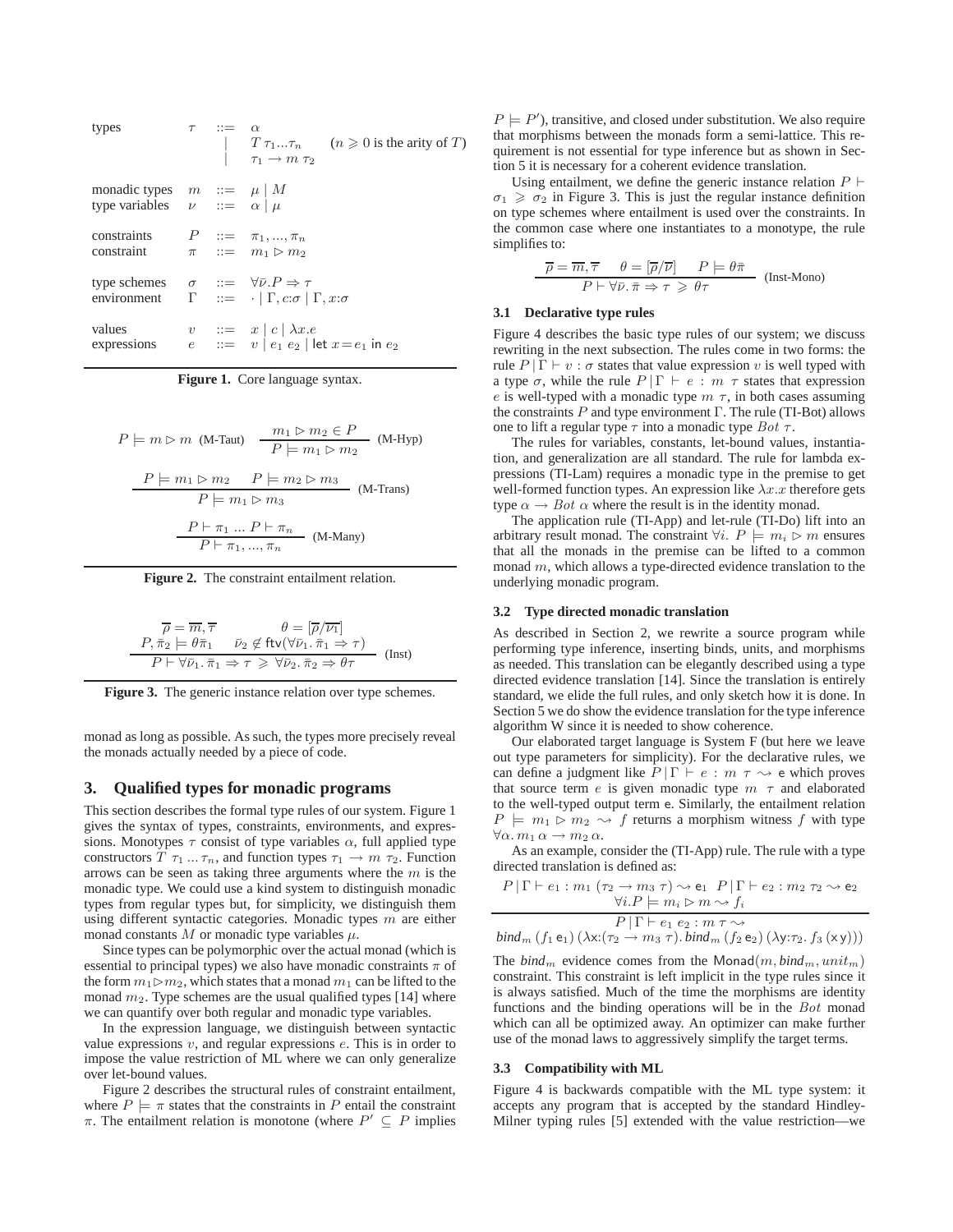| types                                                                            | $\tau$ ::= $\alpha$ | $T \tau_1\tau_n$ $(n \ge 0$ is the arity of T)<br>$\tau_1 \to m \tau_2$                  |
|----------------------------------------------------------------------------------|---------------------|------------------------------------------------------------------------------------------|
| monadic types $m ::= \mu   M$<br>type variables $\nu ::= \alpha   \mu$           |                     |                                                                                          |
| constraints $P ::= \pi_1, , \pi_n$<br>constraint $\pi := m_1 \triangleright m_2$ |                     |                                                                                          |
| type schemes $\sigma$ ::= $\forall \bar{\nu}.P \Rightarrow \tau$                 |                     | environment $\Gamma$ ::= $\cdot   \Gamma, c : \sigma   \Gamma, x : \sigma$               |
|                                                                                  |                     | values $v := x  c  \lambda x.e$<br>expressions $e := v  e_1 e_2 $ let $x = e_1$ in $e_2$ |

**Figure 1.** Core language syntax.

| $m_1 \triangleright m_2 \in P$ (M-Hyp)<br>$P \models m \triangleright m$ (M-Taut)<br>$P \models m_1 \triangleright m_2$                                                                 |
|-----------------------------------------------------------------------------------------------------------------------------------------------------------------------------------------|
| $P \models m_1 \triangleright m_2$ $P \models m_2 \triangleright m_3$<br>$\frac{1}{\sqrt{1-\frac{1}{2}}}\frac{1}{\sqrt{1-\frac{1}{2}}\arctan(x)}$<br>$P \models m_1 \triangleright m_3$ |
| $P \vdash \pi_1 \dots P \vdash \pi_n$ (M-Many)<br>$P \vdash \pi_1, , \pi_n$                                                                                                             |

**Figure 2.** The constraint entailment relation.

$$
\overline{\rho} = \overline{m}, \overline{\tau} \qquad \theta = [\overline{\rho}/\overline{\nu_1}]
$$
  
\n
$$
P, \overline{\pi}_2 \models \theta \overline{\pi}_1 \qquad \overline{\nu}_2 \not\in \text{ftv}(\forall \overline{\nu}_1, \overline{\pi}_1 \Rightarrow \tau)
$$
  
\n
$$
P \vdash \forall \overline{\nu}_1, \overline{\pi}_1 \Rightarrow \tau \geq \forall \overline{\nu}_2, \overline{\pi}_2 \Rightarrow \theta \tau
$$
 (Inst)

Figure 3. The generic instance relation over type schemes.

monad as long as possible. As such, the types more precisely reveal the monads actually needed by a piece of code.

# **3. Qualified types for monadic programs**

This section describes the formal type rules of our system. Figure 1 gives the syntax of types, constraints, environments, and expressions. Monotypes  $\tau$  consist of type variables  $\alpha$ , full applied type constructors  $T \tau_1 ... \tau_n$ , and function types  $\tau_1 \rightarrow m \tau_2$ . Function arrows can be seen as taking three arguments where the  $m$  is the monadic type. We could use a kind system to distinguish monadic types from regular types but, for simplicity, we distinguish them using different syntactic categories. Monadic types  $m$  are either monad constants M or monadic type variables  $\mu$ .

Since types can be polymorphic over the actual monad (which is essential to principal types) we also have monadic constraints  $\pi$  of the form  $m_1 \triangleright m_2$ , which states that a monad  $m_1$  can be lifted to the monad  $m_2$ . Type schemes are the usual qualified types [14] where we can quantify over both regular and monadic type variables.

In the expression language, we distinguish between syntactic value expressions  $v$ , and regular expressions  $e$ . This is in order to impose the value restriction of ML where we can only generalize over let-bound values.

Figure 2 describes the structural rules of constraint entailment, where  $P \models \pi$  states that the constraints in P entail the constraint  $\pi$ . The entailment relation is monotone (where  $P' \subseteq P$  implies

 $P \models P'$ , transitive, and closed under substitution. We also require that morphisms between the monads form a semi-lattice. This requirement is not essential for type inference but as shown in Section 5 it is necessary for a coherent evidence translation.

Using entailment, we define the generic instance relation  $P \vdash$  $\sigma_1 \geq \sigma_2$  in Figure 3. This is just the regular instance definition on type schemes where entailment is used over the constraints. In the common case where one instantiates to a monotype, the rule simplifies to:

$$
\frac{\overline{\rho} = \overline{m}, \overline{\tau} \quad \theta = [\overline{\rho}/\overline{\nu}]}{P \vdash \forall \overline{\nu}, \overline{\pi} \Rightarrow \tau \geq \theta \tau}
$$
 (Inst-Mono)

## **3.1 Declarative type rules**

Figure 4 describes the basic type rules of our system; we discuss rewriting in the next subsection. The rules come in two forms: the rule  $P | \Gamma \vdash v : \sigma$  states that value expression v is well typed with a type  $\sigma$ , while the rule  $P | \Gamma \vdash e : m \tau$  states that expression e is well-typed with a monadic type  $m \tau$ , in both cases assuming the constraints  $P$  and type environment  $\Gamma$ . The rule (TI-Bot) allows one to lift a regular type  $\tau$  into a monadic type  $Bot \tau$ .

The rules for variables, constants, let-bound values, instantiation, and generalization are all standard. The rule for lambda expressions (TI-Lam) requires a monadic type in the premise to get well-formed function types. An expression like  $\lambda x.x$  therefore gets type  $\alpha \rightarrow B \circ t \alpha$  where the result is in the identity monad.

The application rule (TI-App) and let-rule (TI-Do) lift into an arbitrary result monad. The constraint  $\forall i$ .  $P \models m_i \triangleright m$  ensures that all the monads in the premise can be lifted to a common monad  $m$ , which allows a type-directed evidence translation to the underlying monadic program.

#### **3.2 Type directed monadic translation**

As described in Section 2, we rewrite a source program while performing type inference, inserting binds, units, and morphisms as needed. This translation can be elegantly described using a type directed evidence translation [14]. Since the translation is entirely standard, we elide the full rules, and only sketch how it is done. In Section 5 we do show the evidence translation for the type inference algorithm W since it is needed to show coherence.

Our elaborated target language is System F (but here we leave out type parameters for simplicity). For the declarative rules, we can define a judgment like  $P | \Gamma \vdash e : m \tau \leadsto e$  which proves that source term  $e$  is given monadic type  $m \tau$  and elaborated to the well-typed output term e. Similarly, the entailment relation  $P \models m_1 \triangleright m_2 \rightsquigarrow f$  returns a morphism witness f with type  $\forall \alpha \ldotp m_1 \alpha \rightarrow m_2 \alpha$ .

As an example, consider the (TI-App) rule. The rule with a type directed translation is defined as:

$$
P |\Gamma \vdash e_1 : m_1 (\tau_2 \to m_3 \tau) \leadsto \mathbf{e}_1 P |\Gamma \vdash e_2 : m_2 \tau_2 \leadsto \mathbf{e}_2
$$
  

$$
\forall i. P \models m_i \triangleright m \leadsto f_i
$$

$$
\begin{array}{c} P \,|\,\Gamma \vdash e_1 \; e_2 : m \; \tau \leadsto \\ \textit{bind}_m \; (f_1 \; \mathsf{e}_1) \left( \lambda \mathbf{x} : (\tau_2 \to m_3 \; \tau) .\, \textit{bind}_m \left( f_2 \; \mathsf{e}_2 \right) \left( \lambda \mathbf{y} : \tau_2 .\, f_3 \left( \mathbf{x}\, \mathbf{y} \right) \right) \right) \end{array}
$$

The *bind<sub>m</sub>* evidence comes from the Monad $(m, bind_m, unit_m)$ constraint. This constraint is left implicit in the type rules since it is always satisfied. Much of the time the morphisms are identity functions and the binding operations will be in the Bot monad which can all be optimized away. An optimizer can make further use of the monad laws to aggressively simplify the target terms.

#### **3.3 Compatibility with ML**

Figure 4 is backwards compatible with the ML type system: it accepts any program that is accepted by the standard Hindley-Milner typing rules [5] extended with the value restriction—we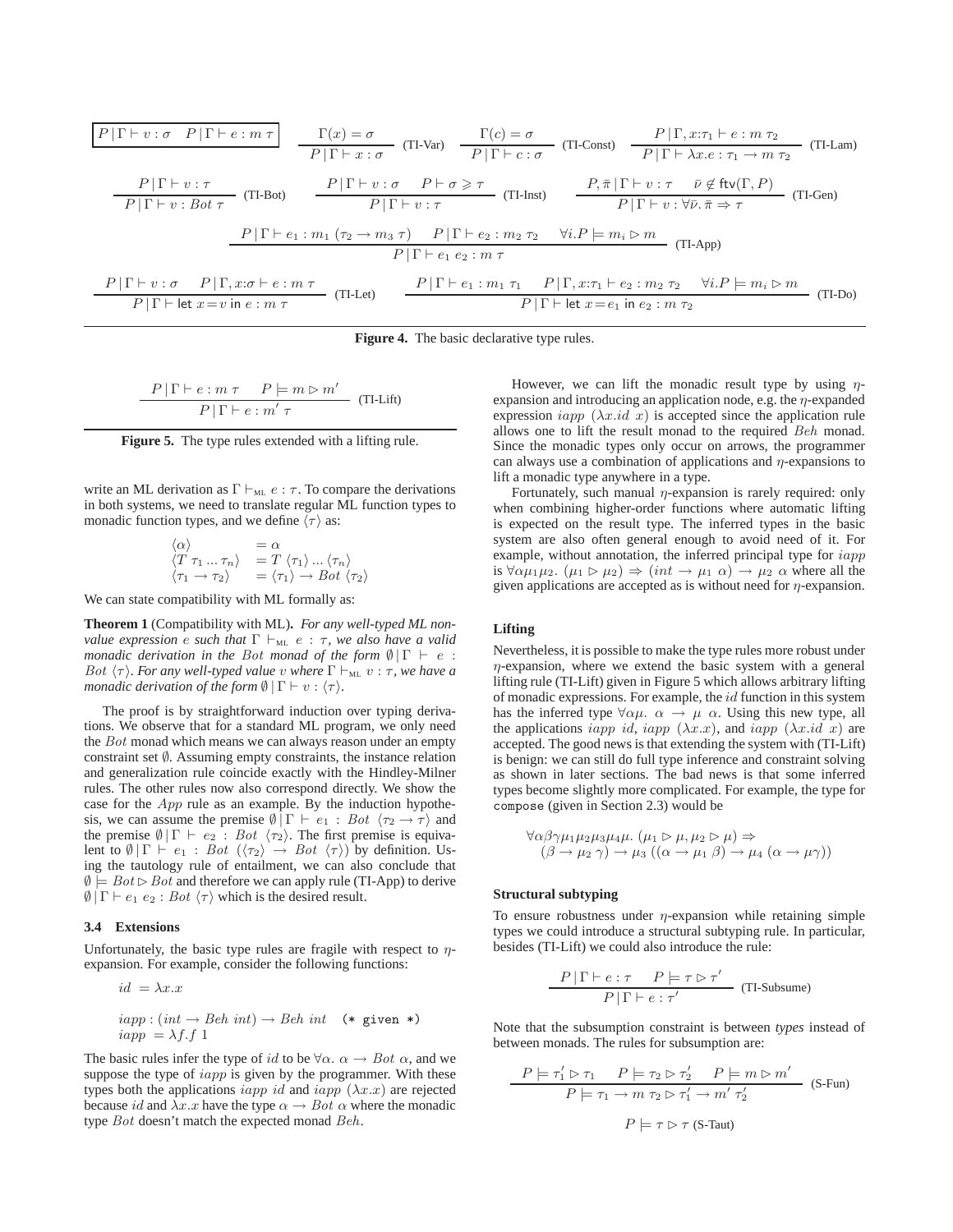$$
\begin{array}{c|c|c|c|c|c|c|c} \hline P|\Gamma \vdash v : \sigma & P|\Gamma \vdash e : m \tau \\\hline \hline P|\Gamma \vdash x : \sigma & \text{(TLVar)} & \frac{\Gamma(c) = \sigma}{P|\Gamma \vdash c : \sigma} & \text{(TLConst)} & \frac{P|\Gamma, x : \tau_1 \vdash e : m \tau_2}{P|\Gamma \vdash \lambda x.e : \tau_1 \to m \tau_2} & \text{(TLLam)} \\\hline \hline P|\Gamma \vdash v : \tau \\\hline \hline P|\Gamma \vdash v : B \sigma t \tau & \text{(TL-Bot)} & \frac{P|\Gamma \vdash v : \sigma & P \vdash \sigma \geq \tau}{P|\Gamma \vdash v : \tau} & \text{(TL-Inst)} & \frac{P, \bar{\pi}|\Gamma \vdash v : \tau & \bar{\nu} \notin \text{ftv}(\Gamma, P)}{P|\Gamma \vdash v : \forall \bar{\nu}, \bar{\pi} \Rightarrow \tau} & \text{(TLGen)} \\\hline \hline \hline P|\Gamma \vdash e_1 : m_1 (\tau_2 \to m_3 \tau) & P|\Gamma \vdash e_2 : m_2 \tau_2 & \forall i.P \models m_i \rhd m}{P|\Gamma \vdash e_1 e_2 : m \tau} & \text{(TLApp)} \\\hline \hline P|\Gamma \vdash v : \sigma & P|\Gamma, x : \sigma \vdash e : m \tau & \text{(TL-Let)} & \frac{P|\Gamma \vdash e_1 : m_1 \tau_1 & P|\Gamma, x : \tau_1 \vdash e_2 : m_2 \tau_2 & \forall i.P \models m_i \rhd m}{P|\Gamma \vdash \text{let } x = e_1 \text{ in } e_2 : m \tau_2} & \text{(TL-Do)} \\\hline \end{array}
$$

**Figure 4.** The basic declarative type rules.

$$
\frac{P|\Gamma \vdash e : m \tau \quad P \models m \rhd m'}{P|\Gamma \vdash e : m' \tau}
$$
 (TI-Lift)



write an ML derivation as  $\Gamma \vdash_{\text{ML}} e : \tau$ . To compare the derivations in both systems, we need to translate regular ML function types to monadic function types, and we define  $\langle \tau \rangle$  as:

$$
\begin{array}{ll}\n\langle \alpha \rangle &= \alpha \\
\langle T \tau_1 \dots \tau_n \rangle &= T \langle \tau_1 \rangle \dots \langle \tau_n \rangle \\
\langle \tau_1 \to \tau_2 \rangle &= \langle \tau_1 \rangle \to Bot \langle \tau_2 \rangle\n\end{array}
$$

We can state compatibility with ML formally as:

**Theorem 1** (Compatibility with ML)**.** *For any well-typed ML nonvalue expression e such that* Γ  $\vdash$ <sub>ML</sub> *e* : *τ*, *we also have a valid monadic derivation in the Bot monad of the form*  $\emptyset | \Gamma \vdash e$ : *Bot*  $\langle \tau \rangle$ *. For any well-typed value v where*  $\Gamma \vdash_{ML} v : \tau$ *, we have a monadic derivation of the form*  $\emptyset | \Gamma \vdash v : \langle \tau \rangle$ *.* 

The proof is by straightforward induction over typing derivations. We observe that for a standard ML program, we only need the  $Bot$  monad which means we can always reason under an empty constraint set ∅. Assuming empty constraints, the instance relation and generalization rule coincide exactly with the Hindley-Milner rules. The other rules now also correspond directly. We show the case for the App rule as an example. By the induction hypothesis, we can assume the premise  $\emptyset | \Gamma \vdash e_1 : Bot \langle \tau_2 \rightarrow \tau \rangle$  and the premise  $\emptyset | \Gamma \vdash e_2 : Bot \langle \tau_2 \rangle$ . The first premise is equivalent to  $\emptyset | \Gamma \vdash e_1 : Bot (\langle \tau_2 \rangle \rightarrow Bot (\tau) )$  by definition. Using the tautology rule of entailment, we can also conclude that  $\emptyset \models Bot \triangleright Bot$  and therefore we can apply rule (TI-App) to derive  $\emptyset | \Gamma \vdash e_1 e_2 : Bot \langle \tau \rangle$  which is the desired result.

#### **3.4 Extensions**

Unfortunately, the basic type rules are fragile with respect to  $\eta$ expansion. For example, consider the following functions:

$$
id = \lambda x.x
$$
  
 
$$
iapp : (int \rightarrow Beh \ int) \rightarrow Beh \ int \ (* given *)
$$
  
 
$$
iapp = \lambda f.f 1
$$

The basic rules infer the type of id to be  $\forall \alpha$ .  $\alpha \rightarrow B$ ot  $\alpha$ , and we suppose the type of *iapp* is given by the programmer. With these types both the applications *iapp id* and *iapp*  $(\lambda x.x)$  are rejected because id and  $\lambda x.x$  have the type  $\alpha \rightarrow Bot \alpha$  where the monadic type Bot doesn't match the expected monad Beh.

However, we can lift the monadic result type by using  $\eta$ expansion and introducing an application node, e.g. the  $\eta$ -expanded expression  $iapp \ (\lambda x.id \ x)$  is accepted since the application rule allows one to lift the result monad to the required Beh monad. Since the monadic types only occur on arrows, the programmer can always use a combination of applications and  $\eta$ -expansions to lift a monadic type anywhere in a type.

Fortunately, such manual  $\eta$ -expansion is rarely required: only when combining higher-order functions where automatic lifting is expected on the result type. The inferred types in the basic system are also often general enough to avoid need of it. For example, without annotation, the inferred principal type for  $iapp$ is  $\forall \alpha \mu_1 \mu_2$ .  $(\mu_1 \triangleright \mu_2) \Rightarrow (int \rightarrow \mu_1 \alpha) \rightarrow \mu_2 \alpha$  where all the given applications are accepted as is without need for  $\eta$ -expansion.

#### **Lifting**

Nevertheless, it is possible to make the type rules more robust under  $\eta$ -expansion, where we extend the basic system with a general lifting rule (TI-Lift) given in Figure 5 which allows arbitrary lifting of monadic expressions. For example, the id function in this system has the inferred type  $\forall \alpha \mu$ .  $\alpha \rightarrow \mu$   $\alpha$ . Using this new type, all the applications  $iapp \, id, iapp \, (\lambda x.x)$ , and  $iapp \, (\lambda x.id \, x)$  are accepted. The good news is that extending the system with (TI-Lift) is benign: we can still do full type inference and constraint solving as shown in later sections. The bad news is that some inferred types become slightly more complicated. For example, the type for compose (given in Section 2.3) would be

$$
\forall \alpha \beta \gamma \mu_1 \mu_2 \mu_3 \mu_4 \mu. \ (\mu_1 \triangleright \mu, \mu_2 \triangleright \mu) \Rightarrow (\beta \rightarrow \mu_2 \gamma) \rightarrow \mu_3 \ ((\alpha \rightarrow \mu_1 \beta) \rightarrow \mu_4 \ (\alpha \rightarrow \mu_7))
$$

#### **Structural subtyping**

To ensure robustness under  $\eta$ -expansion while retaining simple types we could introduce a structural subtyping rule. In particular, besides (TI-Lift) we could also introduce the rule:

$$
\frac{P|\Gamma \vdash e : \tau \quad P \models \tau \rhd \tau'}{P|\Gamma \vdash e : \tau'}
$$
 (TI-Subsume)

Note that the subsumption constraint is between *types* instead of between monads. The rules for subsumption are:

$$
P \models \tau_1' \triangleright \tau_1 \quad P \models \tau_2 \triangleright \tau_2' \quad P \models m \triangleright m'
$$
  
\n
$$
P \models \tau_1 \rightarrow m \tau_2 \triangleright \tau_1' \rightarrow m' \tau_2'
$$
 (S-Fun)  
\n
$$
P \models \tau \triangleright \tau \text{ (S-Taut)}
$$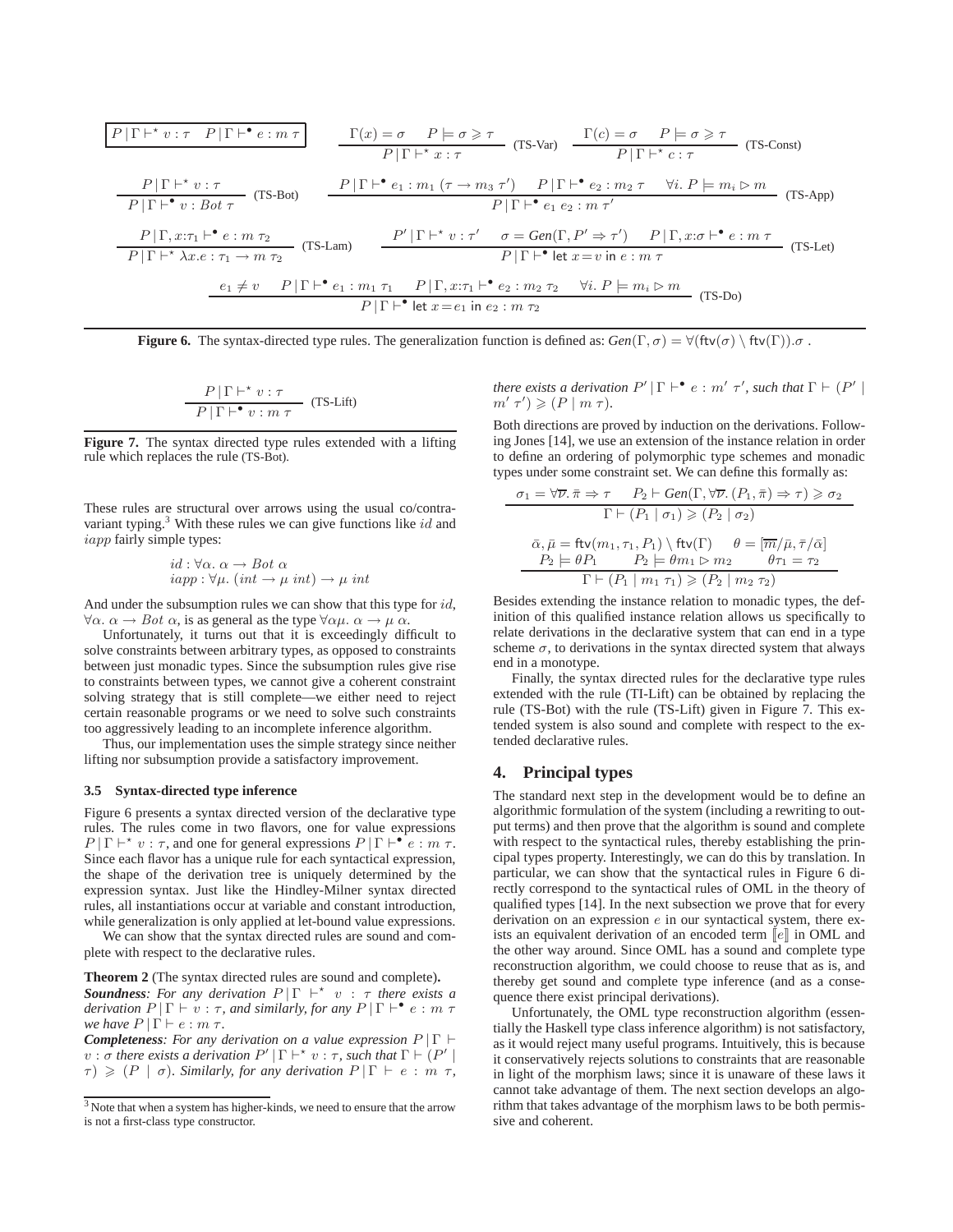| $P   \Gamma \vdash^{*} v : \tau$                                | $P   \Gamma \vdash^{•} e : m \tau$             | $\Gamma(x) = \sigma$               | $P \models \sigma \geq \tau$                 | $\Gamma(c) = \sigma$                           | $P \models \sigma \geq \tau$ | $\Gamma(S\text{-}Const)$                                     |                                            |             |                          |                        |
|-----------------------------------------------------------------|------------------------------------------------|------------------------------------|----------------------------------------------|------------------------------------------------|------------------------------|--------------------------------------------------------------|--------------------------------------------|-------------|--------------------------|------------------------|
| $P   \Gamma \vdash^{*} v : \tau$                                | $\Gamma(S\text{-}Bott)$                        | $P   \Gamma \vdash^{*} x : \tau$   | $\Gamma(S\text{-}Vst)$                       | $P   \Gamma \vdash^{*} e : m \tau$             | $\Gamma(S\text{-}Bott)$      | $P   \Gamma \vdash^{*} e_{1} : m_{1} (\tau \to m_{3} \tau')$ | $P   \Gamma \vdash^{*} e_{2} : m_{2} \tau$ | $\forall i$ | $P \models m_{i} \rhd m$ | $\Gamma(S\text{-}App)$ |
| $P   \Gamma \vdash^{*} v : \tau \vdash e : m \tau_{2}$          | $\Gamma(S\text{-}Lam)$                         | $P'   \Gamma \vdash^{*} v : \tau'$ | $\sigma = Gen(\Gamma, P' \Rightarrow \tau')$ | $P   \Gamma, x : \sigma \vdash^{*} e : m \tau$ | $\Gamma(S\text{-}Let)$       |                                                              |                                            |             |                          |                        |
| $P   \Gamma \vdash^{*} \lambda x . e : \tau_{1} \to m \tau_{2}$ | $\Gamma(S\text{-}Lam)$                         | $P'   \Gamma \vdash^{*} v : \tau'$ | $\sigma = Gen(\Gamma, P' \Rightarrow \tau')$ | $P   \Gamma, x : \sigma \vdash^{*} e : m \tau$ | $\Gamma(S\text{-}Let)$       |                                                              |                                            |             |                          |                        |
| $e_{1} \neq v$                                                  | $P   \Gamma \vdash^{*} e_{1} : m_{1} \tau_{1}$ | $P   \Gamma, x : \tau_{1$          |                                              |                                                |                              |                                                              |                                            |             |                          |                        |

**Figure 6.** The syntax-directed type rules. The generalization function is defined as:  $Gen(\Gamma, \sigma) = \forall (ftv(\sigma) \setminus ftv(\Gamma))$ . $\sigma$ .

$$
\frac{P|\Gamma \vdash^* v : \tau}{P|\Gamma \vdash^{\bullet} v : m \tau}
$$
 (TS-Lift)

**Figure 7.** The syntax directed type rules extended with a lifting rule which replaces the rule (TS-Bot).

These rules are structural over arrows using the usual co/contravariant typing.<sup>3</sup> With these rules we can give functions like  $id$  and iapp fairly simple types:

$$
id: \forall \alpha. \alpha \to Bot \alpha
$$
  
 
$$
iapp: \forall \mu. \ (int \to \mu \ int) \to \mu \ int
$$

And under the subsumption rules we can show that this type for *id*,  $\forall \alpha$ .  $\alpha \rightarrow B$ ot  $\alpha$ , is as general as the type  $\forall \alpha \mu$ .  $\alpha \rightarrow \mu \alpha$ .

Unfortunately, it turns out that it is exceedingly difficult to solve constraints between arbitrary types, as opposed to constraints between just monadic types. Since the subsumption rules give rise to constraints between types, we cannot give a coherent constraint solving strategy that is still complete—we either need to reject certain reasonable programs or we need to solve such constraints too aggressively leading to an incomplete inference algorithm.

Thus, our implementation uses the simple strategy since neither lifting nor subsumption provide a satisfactory improvement.

#### **3.5 Syntax-directed type inference**

Figure 6 presents a syntax directed version of the declarative type rules. The rules come in two flavors, one for value expressions  $P|\Gamma\vdash^* v:\tau$ , and one for general expressions  $P|\Gamma\vdash^{\bullet} e:m\tau$ . Since each flavor has a unique rule for each syntactical expression, the shape of the derivation tree is uniquely determined by the expression syntax. Just like the Hindley-Milner syntax directed rules, all instantiations occur at variable and constant introduction, while generalization is only applied at let-bound value expressions.

We can show that the syntax directed rules are sound and complete with respect to the declarative rules.

**Theorem 2** (The syntax directed rules are sound and complete)**. Soundness**: For any derivation  $P|\Gamma \vdash^{*} v$  :  $\tau$  there exists a  $$ *we have*  $P | \Gamma \vdash e : m \tau$ .

*Completeness: For any derivation on a value expression* P | Γ ⊢  $v : \sigma$  *there exists a derivation*  $P' | \Gamma \vdash^{\star} v : \tau$ *, such that*  $\Gamma \vdash (P' | \sigma)$  $\tau$ )  $\geq$  (P |  $\sigma$ )*. Similarly, for any derivation*  $P | \Gamma \vdash e : m \tau$ , *there exists a derivation*  $P' | \Gamma \vdash^{\bullet} e : m' \tau'$ , *such that*  $\Gamma \vdash (P' |$  $m' \tau'$ )  $\geqslant (P \mid m \tau)$ .

Both directions are proved by induction on the derivations. Following Jones [14], we use an extension of the instance relation in order to define an ordering of polymorphic type schemes and monadic types under some constraint set. We can define this formally as:

$$
\sigma_1 = \forall \overline{\nu}, \overline{\pi} \Rightarrow \tau \qquad P_2 \vdash Gen(\Gamma, \forall \overline{\nu}, (P_1, \overline{\pi}) \Rightarrow \tau) \ge \sigma_2
$$

$$
\Gamma \vdash (P_1 \mid \sigma_1) \ge (P_2 \mid \sigma_2)
$$

$$
\overline{\alpha}, \overline{\mu} = \text{ftv}(m_1, \tau_1, P_1) \setminus \text{ftv}(\Gamma) \qquad \theta = [\overline{m}/\overline{\mu}, \overline{\tau}/\overline{\alpha}]
$$

$$
\overline{P_2} \models \theta P_1 \qquad P_2 \models \theta m_1 \rhd m_2 \qquad \theta \tau_1 = \tau_2
$$

$$
\Gamma \vdash (P_1 \mid m_1 \tau_1) \ge (P_2 \mid m_2 \tau_2)
$$

Besides extending the instance relation to monadic types, the definition of this qualified instance relation allows us specifically to relate derivations in the declarative system that can end in a type scheme  $\sigma$ , to derivations in the syntax directed system that always end in a monotype.

Finally, the syntax directed rules for the declarative type rules extended with the rule (TI-Lift) can be obtained by replacing the rule (TS-Bot) with the rule (TS-Lift) given in Figure 7. This extended system is also sound and complete with respect to the extended declarative rules.

# **4. Principal types**

The standard next step in the development would be to define an algorithmic formulation of the system (including a rewriting to output terms) and then prove that the algorithm is sound and complete with respect to the syntactical rules, thereby establishing the principal types property. Interestingly, we can do this by translation. In particular, we can show that the syntactical rules in Figure 6 directly correspond to the syntactical rules of OML in the theory of qualified types [14]. In the next subsection we prove that for every derivation on an expression e in our syntactical system, there exists an equivalent derivation of an encoded term  $\llbracket e \rrbracket$  in OML and the other way around. Since OML has a sound and complete type reconstruction algorithm, we could choose to reuse that as is, and thereby get sound and complete type inference (and as a consequence there exist principal derivations).

Unfortunately, the OML type reconstruction algorithm (essentially the Haskell type class inference algorithm) is not satisfactory, as it would reject many useful programs. Intuitively, this is because it conservatively rejects solutions to constraints that are reasonable in light of the morphism laws; since it is unaware of these laws it cannot take advantage of them. The next section develops an algorithm that takes advantage of the morphism laws to be both permissive and coherent.

<sup>3</sup> Note that when a system has higher-kinds, we need to ensure that the arrow is not a first-class type constructor.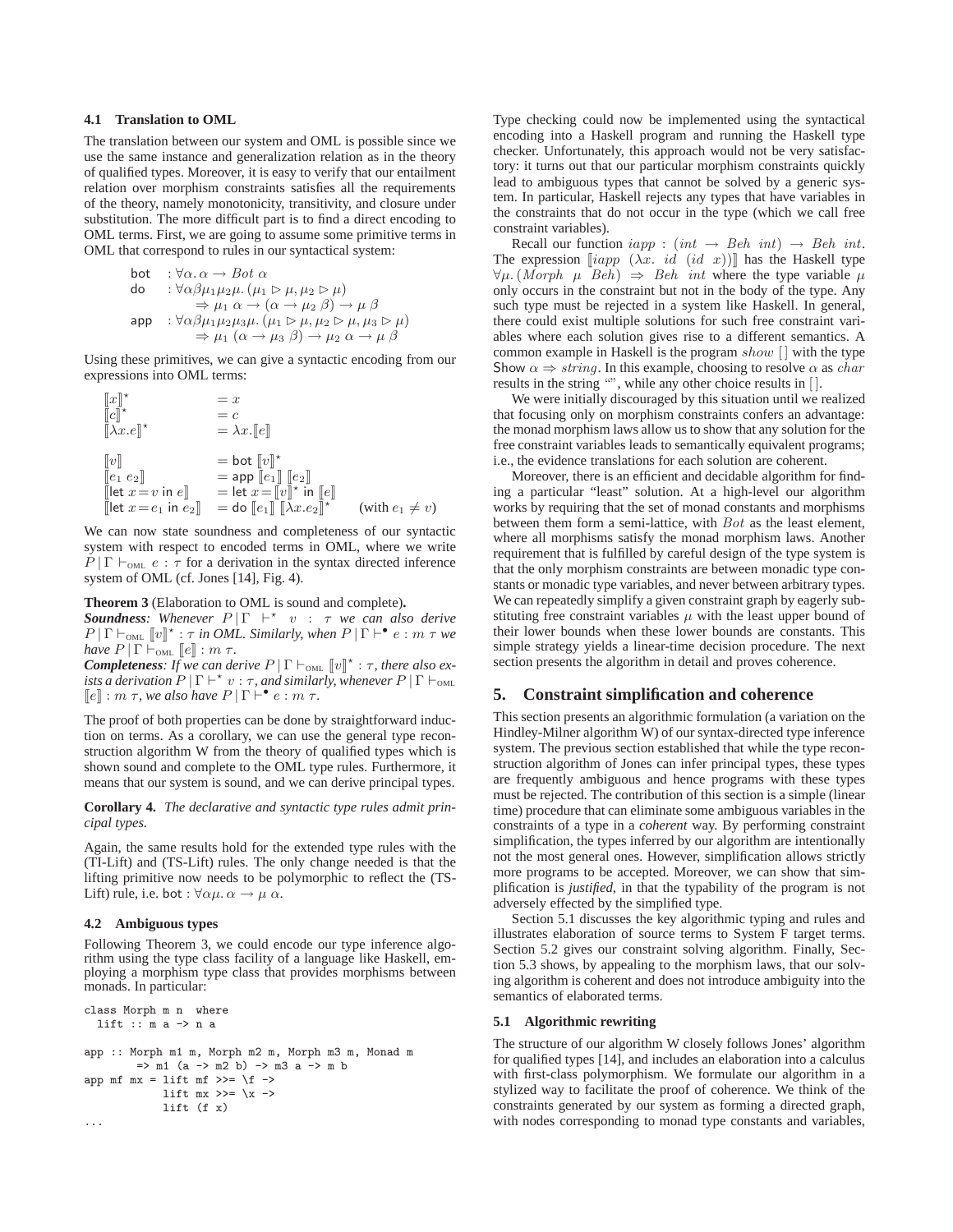# **4.1 Translation to OML**

 $\mathbf{r} = \mathbf{n}$ 

The translation between our system and OML is possible since we use the same instance and generalization relation as in the theory of qualified types. Moreover, it is easy to verify that our entailment relation over morphism constraints satisfies all the requirements of the theory, namely monotonicity, transitivity, and closure under substitution. The more difficult part is to find a direct encoding to OML terms. First, we are going to assume some primitive terms in OML that correspond to rules in our syntactical system:

$$
\begin{array}{ll}\n\text{bot} & : \forall \alpha. \alpha \to \text{Bot } \alpha \\
\text{do} & : \forall \alpha \beta \mu_1 \mu_2 \mu. \ (\mu_1 \triangleright \mu, \mu_2 \triangleright \mu) \\
& \Rightarrow \mu_1 \alpha \to (\alpha \to \mu_2 \beta) \to \mu \beta \\
\text{app} & : \forall \alpha \beta \mu_1 \mu_2 \mu_3 \mu. \ (\mu_1 \triangleright \mu, \mu_2 \triangleright \mu, \mu_3 \triangleright \mu) \\
& \Rightarrow \mu_1 \ (\alpha \to \mu_3 \beta) \to \mu_2 \ \alpha \to \mu \ \beta\n\end{array}
$$

Using these primitives, we can give a syntactic encoding from our expressions into OML terms:

$$
\begin{array}{llll}\n\llbracket x \rrbracket^* & = x & \\
\llbracket c \rrbracket^* & = c & \\
\llbracket \lambda x.e \rrbracket^* & = \lambda x.\llbracket e \rrbracket & \\
v \rrbracket & = \text{bot } \llbracket v \rrbracket^* & \\
\llbracket e_1 \ e_2 \rrbracket & = \text{app } \llbracket e_1 \rrbracket \ \llbracket e_2 \rrbracket & \\
\llbracket \text{let } x = v \text{ in } e \rrbracket & = \text{let } x = \llbracket v \rrbracket^* \text{ in } \llbracket e \rrbracket & \\
\llbracket \text{let } x = e_1 \text{ in } e_2 \rrbracket & = \text{do } \llbracket e_1 \rrbracket \ \llbracket \lambda x.e_2 \rrbracket^* & (\text{with } e_1 \neq v)\n\end{array}
$$

We can now state soundness and completeness of our syntactic system with respect to encoded terms in OML, where we write  $P|\Gamma \vdash_{OM} e : \tau$  for a derivation in the syntax directed inference system of OML (cf. Jones [14], Fig. 4).

#### **Theorem 3** (Elaboration to OML is sound and complete)**.**

**Soundness**: Whenever  $P | Γ ⊢<sup>∗</sup> v : τ we can also derive$  $P |\Gamma \vdash_{\text{OML}} [v]^{\star} : \tau$  *in OML. Similarly, when*  $P |\Gamma \vdash^{\bullet} e : m \tau$  *we have*  $P | \Gamma \vdash_{\text{OML}} [e] : m \tau$ .

*Completeness: If we can derive*  $P | \Gamma \vdash_{OML} [v]^{\star} : \tau$ , there also ex*ists a derivation*  $P \,|\, \Gamma \vdash^{\star} v : \tau$ , and similarly, whenever  $P \,|\, \Gamma \vdash_{\text{OML}}$  $\llbracket e \rrbracket : m \tau$ , we also have  $P | \Gamma \vdash^{\bullet} e : m \tau$ .

The proof of both properties can be done by straightforward induction on terms. As a corollary, we can use the general type reconstruction algorithm W from the theory of qualified types which is shown sound and complete to the OML type rules. Furthermore, it means that our system is sound, and we can derive principal types.

**Corollary 4.** *The declarative and syntactic type rules admit principal types.*

Again, the same results hold for the extended type rules with the (TI-Lift) and (TS-Lift) rules. The only change needed is that the lifting primitive now needs to be polymorphic to reflect the (TS-Lift) rule, i.e. bot :  $\forall \alpha \mu \ldots \alpha \rightarrow \mu \alpha$ .

# **4.2 Ambiguous types**

Following Theorem 3, we could encode our type inference algorithm using the type class facility of a language like Haskell, employing a morphism type class that provides morphisms between monads. In particular:

```
class Morph m n where
 lift :: m a -> n a
app :: Morph m1 m, Morph m2 m, Morph m3 m, Monad m
        \Rightarrow m1 (a -> m2 b) -> m3 a -> m b
app mf mx = lift mf >>= \frownlift mx \gg = \sqrt{x}lift (f x)
...
```
Type checking could now be implemented using the syntactical encoding into a Haskell program and running the Haskell type checker. Unfortunately, this approach would not be very satisfactory: it turns out that our particular morphism constraints quickly lead to ambiguous types that cannot be solved by a generic system. In particular, Haskell rejects any types that have variables in the constraints that do not occur in the type (which we call free constraint variables).

Recall our function  $iapp : (int \rightarrow Beh \ int) \rightarrow Beh \ int.$ The expression  $\llbracket iapp \ (\overline{\lambda x}. \ id \ (id \ x)) \rrbracket$  has the Haskell type  $\forall \mu$ . (Morph  $\mu$  Beh)  $\Rightarrow$  Beh int where the type variable  $\mu$ only occurs in the constraint but not in the body of the type. Any such type must be rejected in a system like Haskell. In general, there could exist multiple solutions for such free constraint variables where each solution gives rise to a different semantics. A common example in Haskell is the program  $show$   $[]$  with the type Show  $\alpha \Rightarrow$  string. In this example, choosing to resolve  $\alpha$  as *char* results in the string "", while any other choice results in [].

We were initially discouraged by this situation until we realized that focusing only on morphism constraints confers an advantage: the monad morphism laws allow us to show that any solution for the free constraint variables leads to semantically equivalent programs; i.e., the evidence translations for each solution are coherent.

Moreover, there is an efficient and decidable algorithm for finding a particular "least" solution. At a high-level our algorithm works by requiring that the set of monad constants and morphisms between them form a semi-lattice, with Bot as the least element, where all morphisms satisfy the monad morphism laws. Another requirement that is fulfilled by careful design of the type system is that the only morphism constraints are between monadic type constants or monadic type variables, and never between arbitrary types. We can repeatedly simplify a given constraint graph by eagerly substituting free constraint variables  $\mu$  with the least upper bound of their lower bounds when these lower bounds are constants. This simple strategy yields a linear-time decision procedure. The next section presents the algorithm in detail and proves coherence.

# **5. Constraint simplification and coherence**

This section presents an algorithmic formulation (a variation on the Hindley-Milner algorithm W) of our syntax-directed type inference system. The previous section established that while the type reconstruction algorithm of Jones can infer principal types, these types are frequently ambiguous and hence programs with these types must be rejected. The contribution of this section is a simple (linear time) procedure that can eliminate some ambiguous variables in the constraints of a type in a *coherent* way. By performing constraint simplification, the types inferred by our algorithm are intentionally not the most general ones. However, simplification allows strictly more programs to be accepted. Moreover, we can show that simplification is *justified*, in that the typability of the program is not adversely effected by the simplified type.

Section 5.1 discusses the key algorithmic typing and rules and illustrates elaboration of source terms to System F target terms. Section 5.2 gives our constraint solving algorithm. Finally, Section 5.3 shows, by appealing to the morphism laws, that our solving algorithm is coherent and does not introduce ambiguity into the semantics of elaborated terms.

#### **5.1 Algorithmic rewriting**

The structure of our algorithm W closely follows Jones' algorithm for qualified types [14], and includes an elaboration into a calculus with first-class polymorphism. We formulate our algorithm in a stylized way to facilitate the proof of coherence. We think of the constraints generated by our system as forming a directed graph, with nodes corresponding to monad type constants and variables,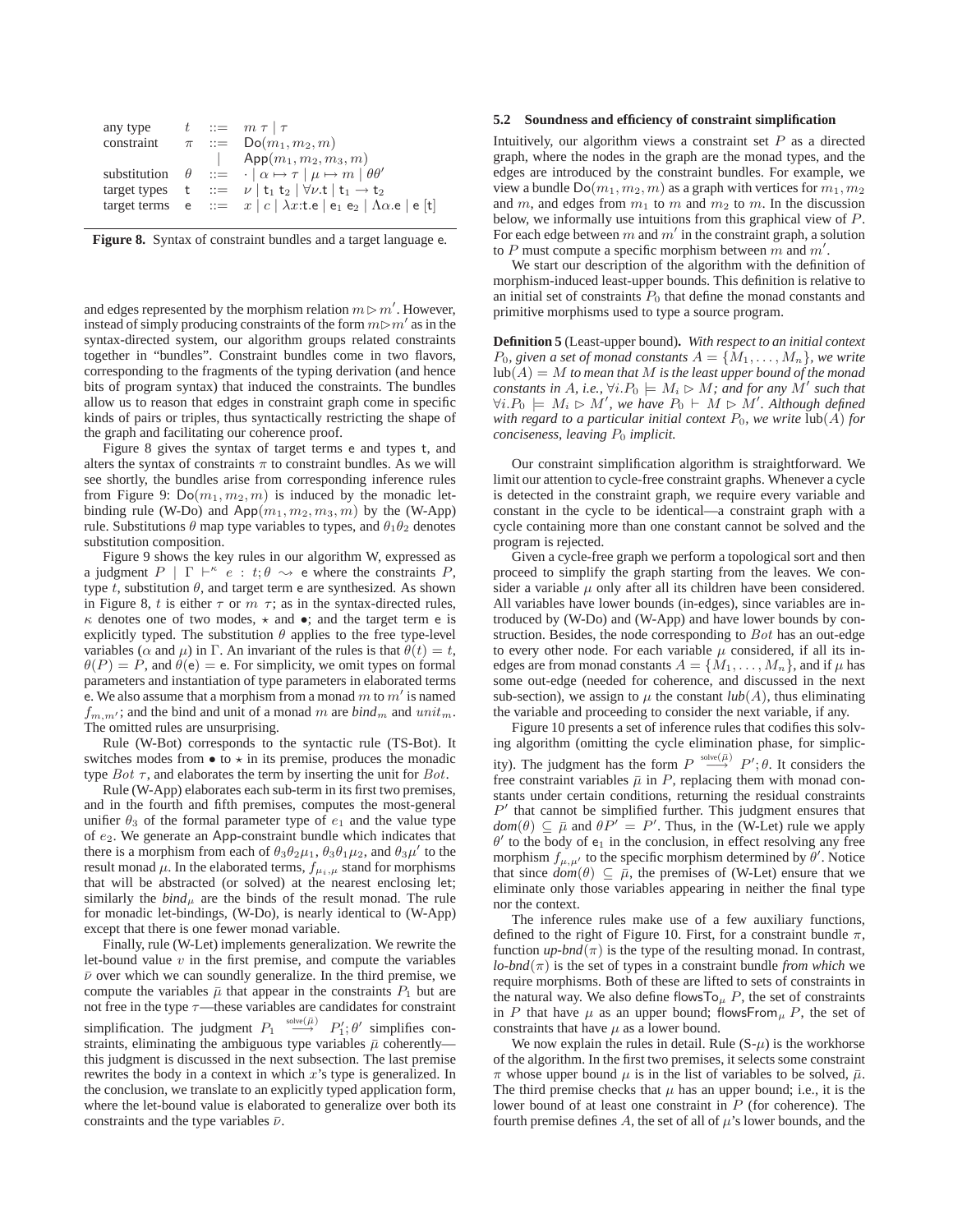| any type |  | $t := m \tau  \tau$                                                                      |
|----------|--|------------------------------------------------------------------------------------------|
|          |  | constraint $\pi ::= Do(m_1, m_2, m)$                                                     |
|          |  | $\vert$ App $(m_1, m_2, m_3, m)$                                                         |
|          |  | substitution $\theta$ ::= $\cdot   \alpha \mapsto \tau   \mu \mapsto m   \theta \theta'$ |
|          |  | target types $t ::= \nu   t_1 t_2   \forall \nu.t   t_1 \rightarrow t_2$                 |
|          |  | target terms $e ::= x   c   \lambda x$ : t.e $  e_1 e_2   \Lambda \alpha e   e   t  $    |
|          |  |                                                                                          |

**Figure 8.** Syntax of constraint bundles and a target language e.

and edges represented by the morphism relation  $m \triangleright m'$ . However, instead of simply producing constraints of the form  $m \triangleright m'$  as in the syntax-directed system, our algorithm groups related constraints together in "bundles". Constraint bundles come in two flavors, corresponding to the fragments of the typing derivation (and hence bits of program syntax) that induced the constraints. The bundles allow us to reason that edges in constraint graph come in specific kinds of pairs or triples, thus syntactically restricting the shape of the graph and facilitating our coherence proof.

Figure 8 gives the syntax of target terms e and types t, and alters the syntax of constraints  $\pi$  to constraint bundles. As we will see shortly, the bundles arise from corresponding inference rules from Figure 9:  $Do(m_1, m_2, m)$  is induced by the monadic letbinding rule (W-Do) and  $App(m_1, m_2, m_3, m)$  by the (W-App) rule. Substitutions  $\theta$  map type variables to types, and  $\theta_1\theta_2$  denotes substitution composition.

Figure 9 shows the key rules in our algorithm W, expressed as a judgment  $P \mid \Gamma \vdash^{\kappa} e : t; \theta \leadsto e$  where the constraints P, type  $t$ , substitution  $\theta$ , and target term e are synthesized. As shown in Figure 8, t is either  $\tau$  or  $m \tau$ ; as in the syntax-directed rules,  $\kappa$  denotes one of two modes,  $\star$  and  $\bullet$ ; and the target term e is explicitly typed. The substitution  $\theta$  applies to the free type-level variables ( $\alpha$  and  $\mu$ ) in Γ. An invariant of the rules is that  $\theta(t) = t$ ,  $\theta(P) = P$ , and  $\theta(e) = e$ . For simplicity, we omit types on formal parameters and instantiation of type parameters in elaborated terms e. We also assume that a morphism from a monad  $m$  to  $m'$  is named  $f_{m,m'}$ ; and the bind and unit of a monad m are *bind<sub>m</sub>* and unit<sub>m</sub>. The omitted rules are unsurprising.

Rule (W-Bot) corresponds to the syntactic rule (TS-Bot). It switches modes from  $\bullet$  to  $\star$  in its premise, produces the monadic type  $Bot \tau$ , and elaborates the term by inserting the unit for  $Bot$ .

Rule (W-App) elaborates each sub-term in its first two premises, and in the fourth and fifth premises, computes the most-general unifier  $\theta_3$  of the formal parameter type of  $e_1$  and the value type of e2. We generate an App-constraint bundle which indicates that there is a morphism from each of  $\theta_3 \theta_2 \mu_1$ ,  $\theta_3 \theta_1 \mu_2$ , and  $\theta_3 \mu'$  to the result monad  $\mu$ . In the elaborated terms,  $f_{\mu_i,\mu}$  stand for morphisms that will be abstracted (or solved) at the nearest enclosing let; similarly the  $bind_{\mu}$  are the binds of the result monad. The rule for monadic let-bindings, (W-Do), is nearly identical to (W-App) except that there is one fewer monad variable.

Finally, rule (W-Let) implements generalization. We rewrite the let-bound value  $v$  in the first premise, and compute the variables  $\bar{\nu}$  over which we can soundly generalize. In the third premise, we compute the variables  $\bar{\mu}$  that appear in the constraints  $P_1$  but are not free in the type  $\tau$ —these variables are candidates for constraint simplification. The judgment  $P_1 \stackrel{\text{solve}(\bar{\mu})}{\longrightarrow} P'_1$ ;  $\theta'$  simplifies constraints, eliminating the ambiguous type variables  $\bar{\mu}$  coherently this judgment is discussed in the next subsection. The last premise rewrites the body in a context in which x's type is generalized. In the conclusion, we translate to an explicitly typed application form, where the let-bound value is elaborated to generalize over both its constraints and the type variables  $\bar{\nu}$ .

#### **5.2 Soundness and efficiency of constraint simplification**

Intuitively, our algorithm views a constraint set  $P$  as a directed graph, where the nodes in the graph are the monad types, and the edges are introduced by the constraint bundles. For example, we view a bundle  $Do(m_1, m_2, m)$  as a graph with vertices for  $m_1, m_2$ and m, and edges from  $m_1$  to m and  $m_2$  to m. In the discussion below, we informally use intuitions from this graphical view of P. For each edge between  $m$  and  $m'$  in the constraint graph, a solution to P must compute a specific morphism between  $m$  and  $m'$ .

We start our description of the algorithm with the definition of morphism-induced least-upper bounds. This definition is relative to an initial set of constraints  $P_0$  that define the monad constants and primitive morphisms used to type a source program.

**Definition 5** (Least-upper bound)**.** *With respect to an initial context*  $P_0$ *, given a set of monad constants*  $A = \{M_1, \ldots, M_n\}$ *, we write* lub(A) = M *to mean that* M *is the least upper bound of the monad constants in A, i.e.,*  $\forall i.P_0 \models M_i \triangleright M$ ; and for any  $\check{M}'$  such that  $\forall i.P_0 \models M_i \rhd M', \text{ we have } P_0 \vdash M \rhd M'. \text{ Although defined}$ *with regard to a particular initial context*  $P_0$ *, we write*  $\text{lub}(A)$  *for conciseness, leaving*  $P_0$  *implicit.* 

Our constraint simplification algorithm is straightforward. We limit our attention to cycle-free constraint graphs. Whenever a cycle is detected in the constraint graph, we require every variable and constant in the cycle to be identical—a constraint graph with a cycle containing more than one constant cannot be solved and the program is rejected.

Given a cycle-free graph we perform a topological sort and then proceed to simplify the graph starting from the leaves. We consider a variable  $\mu$  only after all its children have been considered. All variables have lower bounds (in-edges), since variables are introduced by (W-Do) and (W-App) and have lower bounds by construction. Besides, the node corresponding to Bot has an out-edge to every other node. For each variable  $\mu$  considered, if all its inedges are from monad constants  $A = \{M_1, \ldots, M_n\}$ , and if  $\mu$  has some out-edge (needed for coherence, and discussed in the next sub-section), we assign to  $\mu$  the constant  $lub(A)$ , thus eliminating the variable and proceeding to consider the next variable, if any.

Figure 10 presents a set of inference rules that codifies this solving algorithm (omitting the cycle elimination phase, for simplicity). The judgment has the form  $P \stackrel{\text{solve}(\bar{\mu})}{\longrightarrow} P' ; \theta$ . It considers the free constraint variables  $\bar{\mu}$  in P, replacing them with monad constants under certain conditions, returning the residual constraints  $P'$  that cannot be simplified further. This judgment ensures that  $dom(\theta) \subseteq \overline{\mu}$  and  $\theta P' = P'$ . Thus, in the (W-Let) rule we apply  $\theta'$  to the body of  $e_1$  in the conclusion, in effect resolving any free morphism  $f_{\mu,\mu'}$  to the specific morphism determined by  $\theta'$ . Notice that since  $dom(\theta) \subseteq \overline{\mu}$ , the premises of (W-Let) ensure that we eliminate only those variables appearing in neither the final type nor the context.

The inference rules make use of a few auxiliary functions, defined to the right of Figure 10. First, for a constraint bundle  $\pi$ , function  $up$ *-bnd*( $\pi$ ) is the type of the resulting monad. In contrast,  $$ require morphisms. Both of these are lifted to sets of constraints in the natural way. We also define flows  $\text{To}_{\mu}$  P, the set of constraints in P that have  $\mu$  as an upper bound; flowsFrom  $\mu$  P, the set of constraints that have  $\mu$  as a lower bound.

We now explain the rules in detail. Rule  $(S-\mu)$  is the workhorse of the algorithm. In the first two premises, it selects some constraint  $\pi$  whose upper bound  $\mu$  is in the list of variables to be solved,  $\bar{\mu}$ . The third premise checks that  $\mu$  has an upper bound; i.e., it is the lower bound of at least one constraint in P (for coherence). The fourth premise defines A, the set of all of  $\mu$ 's lower bounds, and the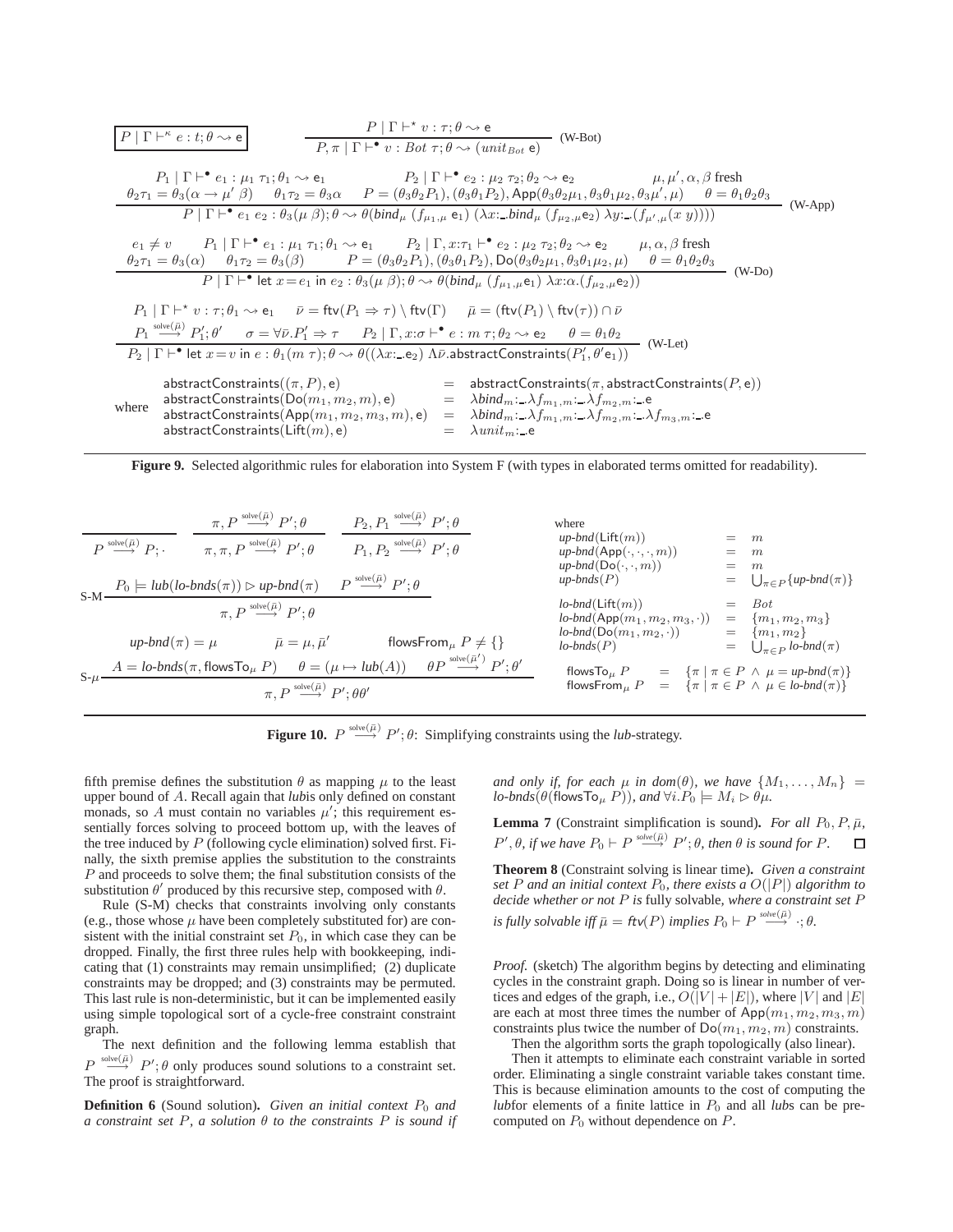$$
P | \Gamma \vdash^{k} e : t; \theta \leadsto e
$$
\n
$$
P | \Gamma \vdash^{k} v : \pi; \theta \leadsto e
$$
\n
$$
P, \pi | \Gamma \vdash^{k} v : Bot \pi; \theta \leadsto (unit_{Bot} e)
$$
\n
$$
P_1 | \Gamma \vdash^{k} e_1 : \mu_1 \tau_1; \theta_1 \leadsto e_1
$$
\n
$$
\theta_2 \tau_1 = \theta_3 (\alpha \rightarrow \mu' \beta) \quad \theta_1 \tau_2 = \theta_3 \alpha \quad P = (\theta_3 \theta_2 P_1), (\theta_3 \theta_1 P_2), \text{App}(\theta_3 \theta_2 \mu_1, \theta_3 \theta_1 \mu_2, \theta_3 \mu', \mu) \quad \theta = \theta_1 \theta_2 \theta_3
$$
\n
$$
P | \Gamma \vdash^{k} e_1 e_2 : \theta_3 (\mu \beta); \theta \leadsto \theta (bind_{\mu} (f_{\mu_1, \mu} e_1) (\lambda x : . . . . . . . . . . . . . . . . . . . . . ))))))
$$
\n
$$
e_1 \neq v \quad P_1 | \Gamma \vdash^{k} e_1 : \mu_1 \tau_1; \theta_1 \leadsto e_1 \quad P_2 | \Gamma, x : \tau_1 \vdash^{k} e_2 : \mu_2 \tau_2; \theta_2 \leadsto e_2 \quad \mu, \alpha, \beta \text{ fresh}
$$
\n
$$
\theta_2 \tau_1 = \theta_3 (\alpha) \quad \theta_1 \tau_2 = \theta_3 (\beta) \quad P = (\theta_3 \theta_2 P_1), (\theta_3 \theta_1 P_2), \text{Do}(\theta_3 \theta_2 \mu_1, \theta_3 \theta_1 \mu_2, \mu) \quad \theta = \theta_1 \theta_2 \theta_3
$$
\n
$$
P | \Gamma \vdash^{k} v : \tau; \theta_1 \leadsto e_1 \quad \bar{v} = f(v \rho_1 \Rightarrow \tau) \setminus f(v \Gamma) \quad \bar{\mu} = (f(v \rho_1) \setminus f(v \langle \tau)) \cap \bar{\nu}
$$
\n
$$
P_1 | \Gamma \vdash^{k} v : \tau; \theta_1 \leadsto e_1 \quad \bar{v} = f(v \rho_1 \Rightarrow \tau) \setminus f(v \Gamma) \quad \
$$

**Figure 9.** Selected algorithmic rules for elaboration into System F (with types in elaborated terms omitted for readability).

$$
\frac{\pi, P \stackrel{\text{solve}(\bar{\mu})}{\longrightarrow} P'; \theta}{\pi, \pi, P \stackrel{\text{solve}(\bar{\mu})}{\longrightarrow} P'; \theta} \qquad \frac{P_2, P_1 \stackrel{\text{solve}(\bar{\mu})}{\longrightarrow} P'; \theta}{P_1, P_2 \stackrel{\text{solve}(\bar{\mu})}{\longrightarrow} P'; \theta} \qquad \text{where}
$$
\n
$$
B \cdot M \stackrel{\text{solve}(\bar{\mu})}{\longrightarrow} P; \qquad \text{type-bnd}(\text{Left}(m))
$$
\n
$$
S \cdot M \stackrel{\text{solve}(\bar{\mu})}{\longrightarrow} P'; \theta
$$
\n
$$
S \cdot M \stackrel{\text{solve}(\bar{\mu})}{\longrightarrow} P'; \theta
$$
\n
$$
S \cdot M \stackrel{\text{solve}(\bar{\mu})}{\longrightarrow} P'; \theta
$$
\n
$$
S \cdot M \stackrel{\text{solve}(\bar{\mu})}{\longrightarrow} P'; \theta
$$
\n
$$
S \cdot M \stackrel{\text{solve}(\bar{\mu})}{\longrightarrow} P'; \theta
$$
\n
$$
S \cdot M \stackrel{\text{solve}(\bar{\mu})}{\longrightarrow} P'; \theta
$$
\n
$$
S \cdot M \stackrel{\text{solve}(\bar{\mu})}{\longrightarrow} P'; \theta
$$
\n
$$
S \cdot M \stackrel{\text{solve}(\bar{\mu})}{\longrightarrow} P'; \theta
$$
\n
$$
S \cdot M \stackrel{\text{solve}(\bar{\mu})}{\longrightarrow} P'; \theta
$$
\n
$$
S \cdot M \stackrel{\text{solve}(\bar{\mu})}{\longrightarrow} P'; \theta
$$
\n
$$
S \cdot M \stackrel{\text{solve}(\bar{\mu})}{\longrightarrow} P'; \theta
$$
\n
$$
S \cdot M \stackrel{\text{solve}(\bar{\mu})}{\longrightarrow} P'; \theta
$$
\n
$$
S \cdot M \stackrel{\text{solve}(\bar{\mu})}{\longrightarrow} P'; \theta
$$
\n
$$
S \cdot M \stackrel{\text{solve}(\bar{\mu})}{\longrightarrow} P'; \theta
$$
\n
$$
S \cdot M \stackrel{\text{solve}(\bar{\mu})}{\longrightarrow} P'; \theta
$$
\n
$$
S \cdot M \stackrel{\text{solve}(\bar{\mu})}{\longrightarrow} P'; \theta
$$
\n
$$
S \cdot M \stackrel{\text{succ}
$$

**Figure 10.**  $P \stackrel{\text{sub}( \bar{\mu} )}{\longrightarrow} P' ; \theta$ : Simplifying constraints using the *lub*-strategy.

fifth premise defines the substitution  $\theta$  as mapping  $\mu$  to the least upper bound of A. Recall again that *lub*is only defined on constant monads, so A must contain no variables  $\mu'$ ; this requirement essentially forces solving to proceed bottom up, with the leaves of the tree induced by P (following cycle elimination) solved first. Finally, the sixth premise applies the substitution to the constraints P and proceeds to solve them; the final substitution consists of the substitution  $\theta'$  produced by this recursive step, composed with  $\theta$ .

Rule (S-M) checks that constraints involving only constants (e.g., those whose  $\mu$  have been completely substituted for) are consistent with the initial constraint set  $P_0$ , in which case they can be dropped. Finally, the first three rules help with bookkeeping, indicating that (1) constraints may remain unsimplified; (2) duplicate constraints may be dropped; and (3) constraints may be permuted. This last rule is non-deterministic, but it can be implemented easily using simple topological sort of a cycle-free constraint constraint graph.

The next definition and the following lemma establish that  $P \stackrel{\text{solve}(\bar{\mu})}{\longrightarrow} P'$ ;  $\theta$  only produces sound solutions to a constraint set. The proof is straightforward.

**Definition 6** (Sound solution). *Given an initial context*  $P_0$  *and a constraint set* P*, a solution* θ *to the constraints* P *is sound if* *and only if, for each*  $\mu$  *in dom*( $\theta$ )*, we have*  $\{M_1, \ldots, M_n\}$  = *lo-bnds*( $\theta$ (flowsTo<sub>µ</sub> P))*, and*  $\forall i.P_0 \models M_i \rhd \theta \mu$ .

**Lemma 7** (Constraint simplification is sound). *For all*  $P_0$ ,  $P$ ,  $\bar{\mu}$ *,*  $P', \theta$ , if we have  $P_0 \vdash P \stackrel{solve(\bar{\mu})}{\longrightarrow} P'; \theta$ , then  $\theta$  is sound for P.  $\Box$ 

**Theorem 8** (Constraint solving is linear time)**.** *Given a constraint set* P and an initial context  $P_0$ , there exists a  $O(|P|)$  algorithm to *decide whether or not* P *is* fully solvable*, where a constraint set* P *is fully solvable iff*  $\bar{\mu} = \text{ftv}(P)$  *implies*  $P_0 \vdash P \stackrel{\text{solve}(\bar{\mu})}{\longrightarrow} \cdot; \theta$ .

*Proof.* (sketch) The algorithm begins by detecting and eliminating cycles in the constraint graph. Doing so is linear in number of vertices and edges of the graph, i.e.,  $O(|V| + |E|)$ , where |V| and |E| are each at most three times the number of  $\mathrm{App}(m_1, m_2, m_3, m)$ constraints plus twice the number of  $Do(m_1, m_2, m)$  constraints. Then the algorithm sorts the graph topologically (also linear).

Then it attempts to eliminate each constraint variable in sorted order. Eliminating a single constraint variable takes constant time. This is because elimination amounts to the cost of computing the *lub*for elements of a finite lattice in  $P_0$  and all *lubs* can be precomputed on  $P_0$  without dependence on  $P$ .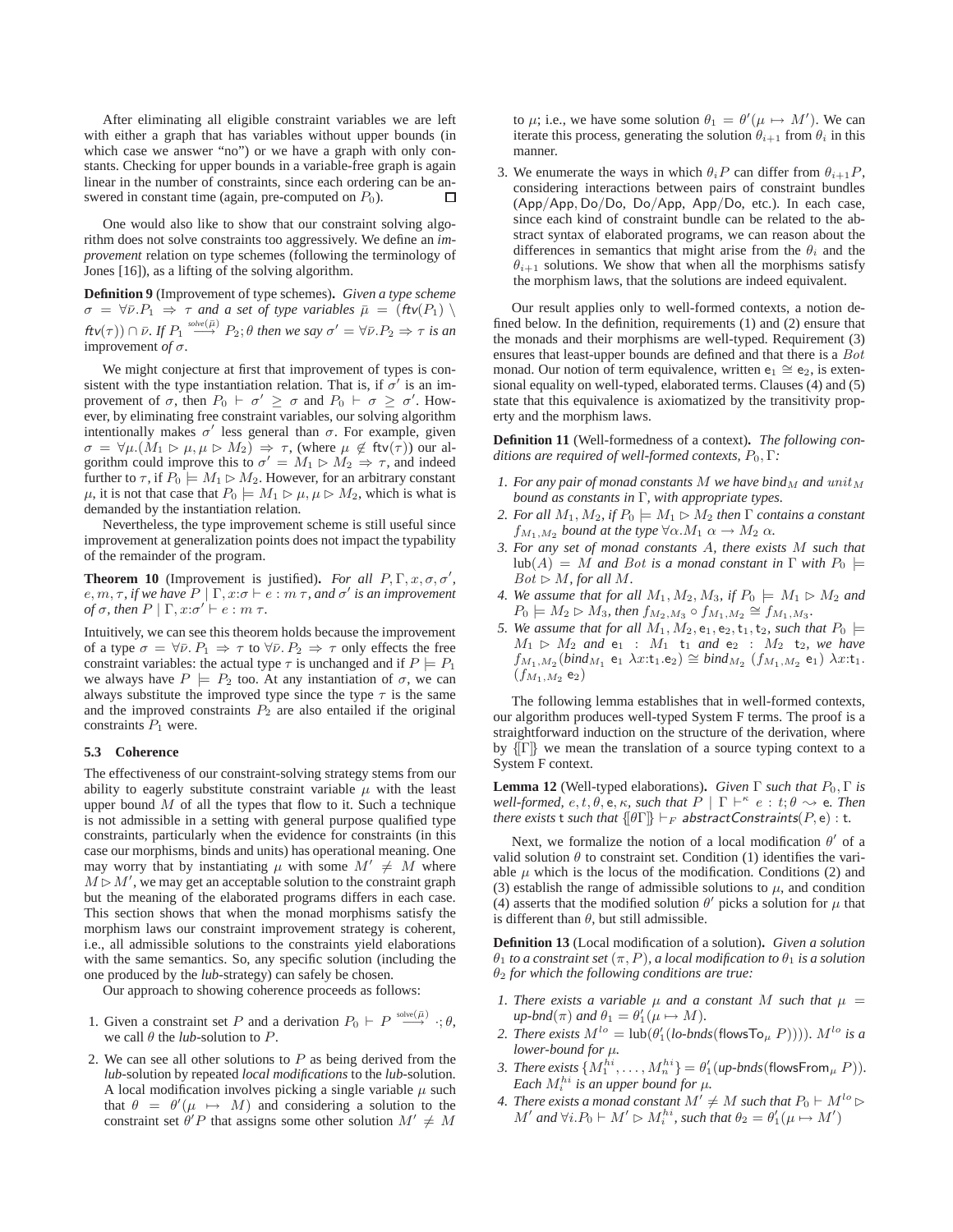After eliminating all eligible constraint variables we are left with either a graph that has variables without upper bounds (in which case we answer "no") or we have a graph with only constants. Checking for upper bounds in a variable-free graph is again linear in the number of constraints, since each ordering can be answered in constant time (again, pre-computed on  $P_0$ ).  $\Box$ 

One would also like to show that our constraint solving algorithm does not solve constraints too aggressively. We define an *improvement* relation on type schemes (following the terminology of Jones [16]), as a lifting of the solving algorithm.

**Definition 9** (Improvement of type schemes)**.** *Given a type scheme*  $\sigma = \forall \bar{\nu}.P_1 \Rightarrow \tau$  and a set of type variables  $\bar{\mu} = (ftv(P_1))$  $ftv(\tau)) \cap \bar{\nu}$ . If  $P_1 \stackrel{solve(\bar{\mu})}{\longrightarrow} P_2$ ;  $\theta$  then we say  $\sigma' = \forall \bar{\nu}. P_2 \Rightarrow \tau$  is an improvement *of* σ*.*

We might conjecture at first that improvement of types is consistent with the type instantiation relation. That is, if  $\sigma'$  is an improvement of  $\sigma$ , then  $P_0$   $\vdash$   $\sigma' \geq \sigma$  and  $P_0$   $\vdash$   $\sigma \geq \sigma'$ . However, by eliminating free constraint variables, our solving algorithm intentionally makes  $\sigma'$  less general than  $\sigma$ . For example, given  $\sigma = \forall \mu \ldotp (M_1 \triangleright \mu, \mu \triangleright M_2) \Rightarrow \tau$ , (where  $\mu \notin \text{ftv}(\tau)$ ) our algorithm could improve this to  $\sigma' = M_1 \triangleright M_2 \Rightarrow \tau$ , and indeed further to  $\tau$ , if  $P_0 \models M_1 \triangleright M_2$ . However, for an arbitrary constant  $\mu$ , it is not that case that  $P_0 \models M_1 \triangleright \mu, \mu \triangleright M_2$ , which is what is demanded by the instantiation relation.

Nevertheless, the type improvement scheme is still useful since improvement at generalization points does not impact the typability of the remainder of the program.

**Theorem 10** (Improvement is justified). *For all*  $P, \Gamma, x, \sigma, \sigma'$ ,  $e, m, \tau$ , if we have  $P \mid \Gamma, x : \sigma \vdash e : m \tau$ , and  $\sigma'$  is an improvement *of*  $\sigma$ *, then*  $P | \Gamma, x : \sigma' \vdash e : m \tau$ *.* 

Intuitively, we can see this theorem holds because the improvement of a type  $\sigma = \forall \bar{\nu}$ .  $P_1 \Rightarrow \tau$  to  $\forall \bar{\nu}$ .  $P_2 \Rightarrow \tau$  only effects the free constraint variables: the actual type  $\tau$  is unchanged and if  $P \models P_1$ we always have  $P \models P_2$  too. At any instantiation of  $\sigma$ , we can always substitute the improved type since the type  $\tau$  is the same and the improved constraints  $P_2$  are also entailed if the original constraints  $P_1$  were.

#### **5.3 Coherence**

The effectiveness of our constraint-solving strategy stems from our ability to eagerly substitute constraint variable  $\mu$  with the least upper bound  $M$  of all the types that flow to it. Such a technique is not admissible in a setting with general purpose qualified type constraints, particularly when the evidence for constraints (in this case our morphisms, binds and units) has operational meaning. One may worry that by instantiating  $\mu$  with some  $M' \neq M$  where  $M \triangleright M'$ , we may get an acceptable solution to the constraint graph but the meaning of the elaborated programs differs in each case. This section shows that when the monad morphisms satisfy the morphism laws our constraint improvement strategy is coherent, i.e., all admissible solutions to the constraints yield elaborations with the same semantics. So, any specific solution (including the one produced by the *lub*-strategy) can safely be chosen.

Our approach to showing coherence proceeds as follows:

- 1. Given a constraint set P and a derivation  $P_0 \vdash P \stackrel{\text{solve}(\bar{\mu})}{\longrightarrow} \cdot; \theta$ , we call  $\theta$  the *lub*-solution to  $P$ .
- 2. We can see all other solutions to  $P$  as being derived from the *lub*-solution by repeated *local modifications* to the *lub*-solution. A local modification involves picking a single variable  $\mu$  such that  $\theta = \theta'(\mu \mapsto M)$  and considering a solution to the constraint set  $\theta'P$  that assigns some other solution  $M' \neq M$

to  $\mu$ ; i.e., we have some solution  $\theta_1 = \theta'(\mu \mapsto M')$ . We can iterate this process, generating the solution  $\theta_{i+1}$  from  $\theta_i$  in this manner.

3. We enumerate the ways in which  $\theta_i P$  can differ from  $\theta_{i+1}P$ , considering interactions between pairs of constraint bundles (App/App, Do/Do, Do/App, App/Do, etc.). In each case, since each kind of constraint bundle can be related to the abstract syntax of elaborated programs, we can reason about the differences in semantics that might arise from the  $\theta_i$  and the  $\theta_{i+1}$  solutions. We show that when all the morphisms satisfy the morphism laws, that the solutions are indeed equivalent.

Our result applies only to well-formed contexts, a notion defined below. In the definition, requirements (1) and (2) ensure that the monads and their morphisms are well-typed. Requirement (3) ensures that least-upper bounds are defined and that there is a Bot monad. Our notion of term equivalence, written  $e_1 \cong e_2$ , is extensional equality on well-typed, elaborated terms. Clauses (4) and (5) state that this equivalence is axiomatized by the transitivity property and the morphism laws.

**Definition 11** (Well-formedness of a context)**.** *The following conditions are required of well-formed contexts, P*<sub>0</sub>, Γ:

- *1. For any pair of monad constants*  $M$  *we have bind* $_M$  *and unit* $_M$ *bound as constants in* Γ*, with appropriate types.*
- *2. For all*  $M_1, M_2$ , if  $P_0 \models M_1 \triangleright M_2$  then  $\Gamma$  contains a constant  $f_{M_1,M_2}$  *bound at the type*  $\forall \alpha.M_1 \alpha \rightarrow M_2 \alpha$ *.*
- *3. For any set of monad constants* A*, there exists* M *such that*  $\text{lub}(A) = M$  *and Bot is a monad constant in*  $\Gamma$  *with*  $P_0 \models$  $Bot \rhd M, for all M.$
- 4. We assume that for all  $M_1, M_2, M_3$ , if  $P_0 \models M_1 \triangleright M_2$  and  $P_0 \models M_2 \triangleright M_3$ , then  $f_{M_2,M_3} \circ f_{M_1,M_2} \cong f_{M_1,M_3}$ .
- *5. We assume that for all*  $M_1, M_2, e_1, e_2, t_1, t_2$ *, such that*  $P_0 \models$  $M_1 \triangleright M_2$  *and*  $e_1 : M_1$   $t_1$  *and*  $e_2 : M_2$   $t_2$ *, we have*  $f_{M_1,M_2}(\text{bind}_{M_1} \epsilon_1 \lambda x : t_1.e_2) \cong \text{bind}_{M_2} (f_{M_1,M_2} \epsilon_1) \lambda x : t_1.$  $(f_{M_1,M_2}$  e<sub>2</sub>)

The following lemma establishes that in well-formed contexts, our algorithm produces well-typed System F terms. The proof is a straightforward induction on the structure of the derivation, where by {[Γ]} we mean the translation of a source typing context to a System F context.

**Lemma 12** (Well-typed elaborations). *Given*  $\Gamma$  *such that*  $P_0$ ,  $\Gamma$  *is well-formed,*  $e, t, \theta, e, \kappa$ , such that  $P \mid \Gamma \vdash^{\kappa} e : t; \theta \leadsto e$ . Then *there exists* **t** *such that*  $\{\theta \Gamma\}$   $\vdash_F$  *abstractConstraints*(*P*, e) : **t**.

Next, we formalize the notion of a local modification  $\theta'$  of a valid solution  $\theta$  to constraint set. Condition (1) identifies the variable  $\mu$  which is the locus of the modification. Conditions (2) and (3) establish the range of admissible solutions to  $\mu$ , and condition (4) asserts that the modified solution  $\theta'$  picks a solution for  $\mu$  that is different than  $\theta$ , but still admissible.

**Definition 13** (Local modification of a solution)**.** *Given a solution*  $\theta_1$  *to a constraint set*  $(\pi, P)$ *, a local modification to*  $\theta_1$  *is a solution* θ<sup>2</sup> *for which the following conditions are true:*

- *1. There exists a variable*  $\mu$  *and a constant* M *such that*  $\mu$  =  $up$ *-bnd*( $\pi$ ) *and*  $\theta_1 = \theta'_1(\mu \mapsto M)$ *.*
- 2. There exists  $M^{lo} = \text{lub}(\theta'_1(lo\text{-}bnds(\text{flowsTo}_{\mu} P))))$ .  $M^{lo}$  is a *lower-bound for* µ*.*
- 3. There exists  $\{M_1^{hi}, \ldots, M_n^{hi}\} = \theta'_1(\mu p \text{-}b n \text{-}d s(\text{flowsFrom}_{\mu} P)).$ *Each*  $M_i^{hi}$  *is an upper bound for*  $\mu$ *.*
- 4. There exists a monad constant  $M' \neq M$  such that  $P_0 \vdash M^{lo} \rhd$  $M'$  and  $\forall i.P_0 \vdash M' \rhd M_i^{hi}$ , such that  $\theta_2 = \theta'_1(\mu \mapsto M')$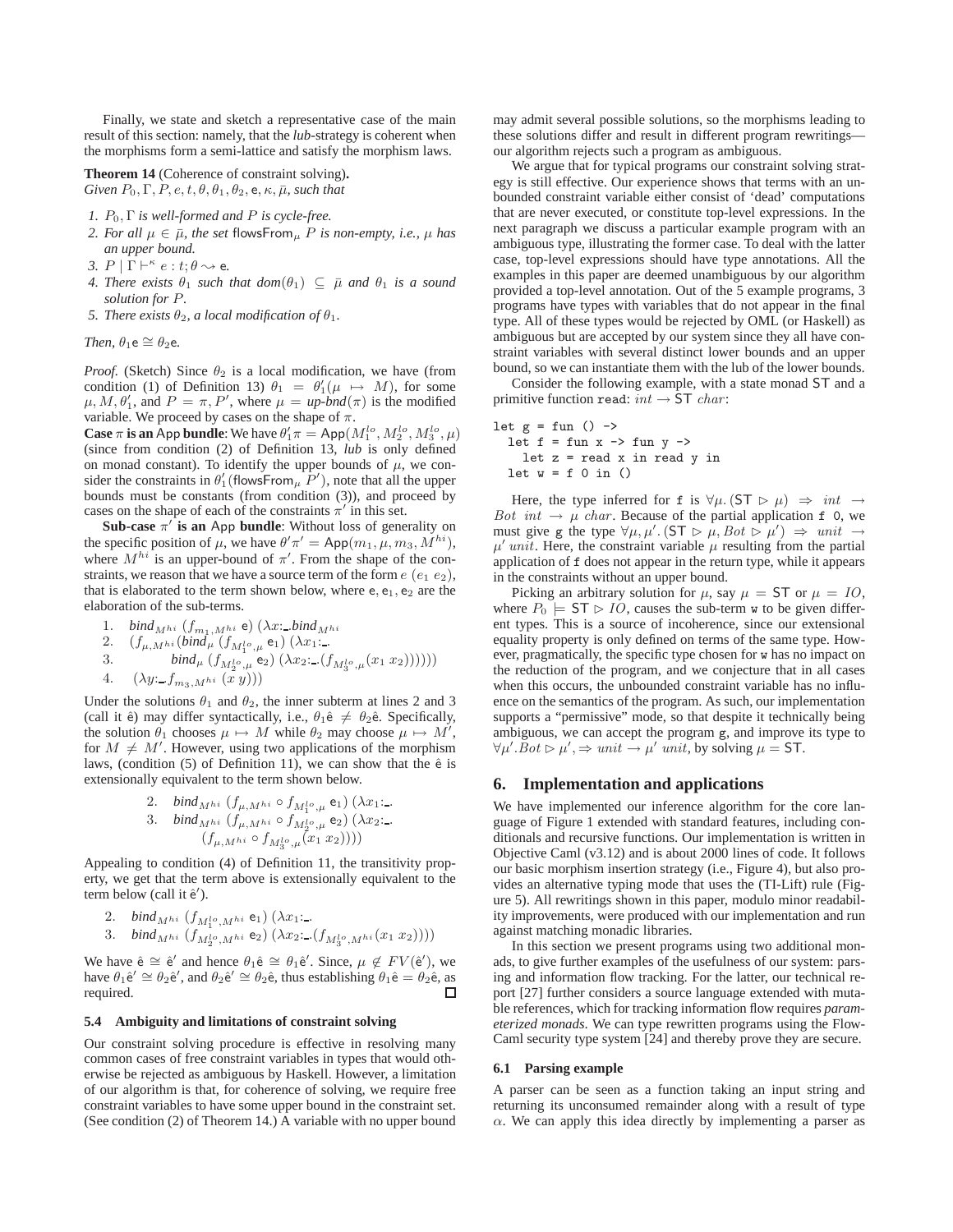Finally, we state and sketch a representative case of the main result of this section: namely, that the *lub*-strategy is coherent when the morphisms form a semi-lattice and satisfy the morphism laws.

**Theorem 14** (Coherence of constraint solving)**.** *Given*  $P_0$ ,  $\Gamma$ ,  $P$ ,  $e$ ,  $t$ ,  $\theta$ ,  $\theta_1$ ,  $\theta_2$ ,  $e$ ,  $\kappa$ ,  $\bar{\mu}$ *, such that* 

- *1.* P0, Γ *is well-formed and* P *is cycle-free.*
- *2. For all*  $\mu \in \bar{\mu}$ *, the set* flowsFrom<sub> $\mu$ </sub> P *is non-empty, i.e.,*  $\mu$  *has an upper bound.*
- *3.*  $P | \Gamma \vdash^{\kappa} e : t; \theta \leadsto e$ .
- *4. There exists*  $\theta_1$  *such that*  $dom(\theta_1) \subseteq \overline{\mu}$  *and*  $\theta_1$  *is a sound solution for* P*.*
- *5. There exists*  $\theta_2$ *, a local modification of*  $\theta_1$ *.*

*Then,*  $\theta_1$ e $\cong \theta_2$ e.

*Proof.* (Sketch) Since  $\theta_2$  is a local modification, we have (from condition (1) of Definition 13)  $\theta_1 = \theta'_1(\mu \mapsto M)$ , for some  $\mu$ , *M*,  $\theta'_1$ , and  $P = \pi$ , *P'*, where  $\mu = up$ -*bnd*( $\pi$ ) is the modified variable. We proceed by cases on the shape of  $\pi$ .

**Case**  $\pi$  **is an** App **bundle**: We have  $\theta'_1 \pi = \text{App}(M_1^{lo}, M_2^{lo}, M_3^{lo}, \mu)$ (since from condition (2) of Definition 13, *lub* is only defined on monad constant). To identify the upper bounds of  $\mu$ , we consider the constraints in  $\theta_1'$  (flowsFrom<sub> $\mu$ </sub> P'), note that all the upper bounds must be constants (from condition (3)), and proceed by cases on the shape of each of the constraints  $\pi'$  in this set.

**Sub-case** π ′ **is an** App **bundle**: Without loss of generality on the specific position of  $\mu$ , we have  $\theta' \pi' = \text{App}(m_1, \mu, m_3, M^{hi})$ , where  $M^{hi}$  is an upper-bound of  $\pi'$ . From the shape of the constraints, we reason that we have a source term of the form  $e$  ( $e_1$   $e_2$ ), that is elaborated to the term shown below, where  $e, e_1, e_2$  are the elaboration of the sub-terms.

- 1. *bind*<sub>Mhi</sub>  $(f_{m_1,M^{hi}}e)(\lambda x$ : *...bind*<sub>Mhi</sub>
- 2.  $(f_{\mu, M^{hi}}(bind_{\mu} (f_{M_1^{lo}, \mu} e_1) (\lambda x_1...$

3. 
$$
bind_{\mu} (f_{M_2^{lo}, \mu} e_2) (\lambda x_2 ... (f_{M_3^{lo}, \mu} (x_1 x_2))))))
$$
4. 
$$
(\lambda y : f_{m_3, M^{hi}} (x y)))
$$

Under the solutions  $\theta_1$  and  $\theta_2$ , the inner subterm at lines 2 and 3 (call it  $\hat{e}$ ) may differ syntactically, i.e.,  $\theta_1 \hat{e} \neq \theta_2 \hat{e}$ . Specifically, the solution  $\theta_1$  chooses  $\mu \mapsto M$  while  $\theta_2$  may choose  $\mu \mapsto M'$ , for  $M \neq M'$ . However, using two applications of the morphism laws, (condition  $(5)$  of Definition 11), we can show that the  $\hat{e}$  is extensionally equivalent to the term shown below.

2. 
$$
bind_{M^{hi}}(f_{\mu, M^{hi}} \circ f_{M_1^{lo}, \mu} \mathbf{e}_1) (\lambda x_1 \dots
$$
  
3.  $bind_{M^{hi}}(f_{\mu, M^{hi}} \circ f_{M_2^{lo}, \mu} \mathbf{e}_2) (\lambda x_2 \dots$   
 $(f_{\mu, M^{hi}} \circ f_{M_3^{lo}, \mu}(x_1 x_2))))$ 

Appealing to condition (4) of Definition 11, the transitivity property, we get that the term above is extensionally equivalent to the term below (call it  $\hat{e}'$ ).

2. 
$$
bind_{M^{hi}}(f_{M_1^{lo},M^{hi}}e_1)(\lambda x_1...
$$

3. 
$$
bind_{M^{hi}}(f_{M_2^{lo},M^{hi}}e_2)(\lambda x_2...(f_{M_3^{lo},M^{hi}}(x_1\ x_2))))
$$

We have  $\hat{e} \cong \hat{e}'$  and hence  $\theta_1 \hat{e} \cong \theta_1 \hat{e}'$ . Since,  $\mu \notin FV(\hat{e}')$ , we have  $\theta_1 \hat{e}' \cong \theta_2 \hat{e}'$ , and  $\theta_2 \hat{e}' \cong \theta_2 \hat{e}$ , thus establishing  $\theta_1 \hat{e} = \theta_2 \hat{e}$ , as required.

## **5.4 Ambiguity and limitations of constraint solving**

Our constraint solving procedure is effective in resolving many common cases of free constraint variables in types that would otherwise be rejected as ambiguous by Haskell. However, a limitation of our algorithm is that, for coherence of solving, we require free constraint variables to have some upper bound in the constraint set. (See condition (2) of Theorem 14.) A variable with no upper bound may admit several possible solutions, so the morphisms leading to these solutions differ and result in different program rewritings our algorithm rejects such a program as ambiguous.

We argue that for typical programs our constraint solving strategy is still effective. Our experience shows that terms with an unbounded constraint variable either consist of 'dead' computations that are never executed, or constitute top-level expressions. In the next paragraph we discuss a particular example program with an ambiguous type, illustrating the former case. To deal with the latter case, top-level expressions should have type annotations. All the examples in this paper are deemed unambiguous by our algorithm provided a top-level annotation. Out of the 5 example programs, 3 programs have types with variables that do not appear in the final type. All of these types would be rejected by OML (or Haskell) as ambiguous but are accepted by our system since they all have constraint variables with several distinct lower bounds and an upper bound, so we can instantiate them with the lub of the lower bounds.

Consider the following example, with a state monad ST and a primitive function read:  $int \rightarrow ST$  char:

let  $g = fun$  ()  $\rightarrow$ let  $f = fun x \rightarrow fun y \rightarrow$ let  $z = read x$  in read  $y$  in let  $w = f 0$  in ()

Here, the type inferred for f is  $\forall \mu$ . (ST  $\triangleright \mu$ )  $\Rightarrow$  int  $\rightarrow$ Bot int  $\rightarrow \mu$  char. Because of the partial application f 0, we must give g the type  $\forall \mu, \mu'$ .  $(ST \rhd \mu, Bot \rhd \mu') \Rightarrow unit \rightarrow$  $\mu'$  unit. Here, the constraint variable  $\mu$  resulting from the partial application of f does not appear in the return type, while it appears in the constraints without an upper bound.

Picking an arbitrary solution for  $\mu$ , say  $\mu = ST$  or  $\mu = IO$ , where  $P_0 \models$  ST  $\triangleright$  *IO*, causes the sub-term w to be given different types. This is a source of incoherence, since our extensional equality property is only defined on terms of the same type. However, pragmatically, the specific type chosen for w has no impact on the reduction of the program, and we conjecture that in all cases when this occurs, the unbounded constraint variable has no influence on the semantics of the program. As such, our implementation supports a "permissive" mode, so that despite it technically being ambiguous, we can accept the program g, and improve its type to  $\forall \mu'. \text{ } B \text{ } \text{ } \sigma \models \mu', \Rightarrow \text{ } unit \rightarrow \mu' \text{ } unit, \text{ by solving } \mu = \text{ST}.$ 

# **6. Implementation and applications**

We have implemented our inference algorithm for the core language of Figure 1 extended with standard features, including conditionals and recursive functions. Our implementation is written in Objective Caml (v3.12) and is about 2000 lines of code. It follows our basic morphism insertion strategy (i.e., Figure 4), but also provides an alternative typing mode that uses the (TI-Lift) rule (Figure 5). All rewritings shown in this paper, modulo minor readability improvements, were produced with our implementation and run against matching monadic libraries.

In this section we present programs using two additional monads, to give further examples of the usefulness of our system: parsing and information flow tracking. For the latter, our technical report [27] further considers a source language extended with mutable references, which for tracking information flow requires *parameterized monads*. We can type rewritten programs using the Flow-Caml security type system [24] and thereby prove they are secure.

# **6.1 Parsing example**

A parser can be seen as a function taking an input string and returning its unconsumed remainder along with a result of type  $\alpha$ . We can apply this idea directly by implementing a parser as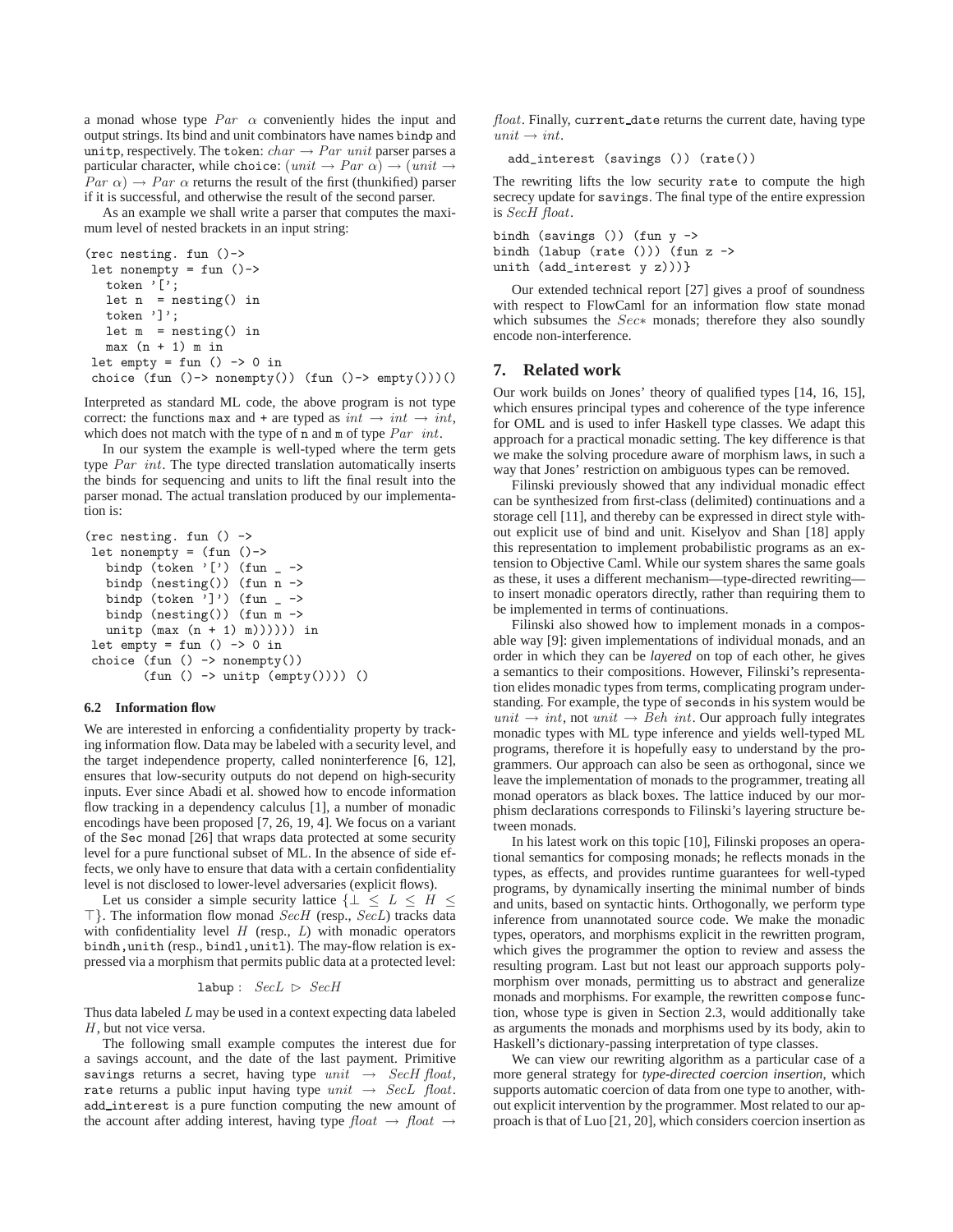a monad whose type  $Par \alpha$  conveniently hides the input and output strings. Its bind and unit combinators have names bindp and unitp, respectively. The token:  $char \rightarrow Par$  unit parser parses a particular character, while choice:  $(unit \rightarrow Par \alpha) \rightarrow (unit \rightarrow$  $Par \alpha$ )  $\rightarrow Par \alpha$  returns the result of the first (thunkified) parser if it is successful, and otherwise the result of the second parser.

As an example we shall write a parser that computes the maximum level of nested brackets in an input string:

```
(rec nesting. fun ()->
let nonempty = fun ()->
   token '[';
   let n = \text{nesting}() in
   token ']';
   let m = nesting() inmax (n + 1) m in
let empty = fun () \rightarrow 0 in
choice (fun () \rightarrow nonempty()) (fun () \rightarrow empty()))
```
Interpreted as standard ML code, the above program is not type correct: the functions max and + are typed as  $int \rightarrow int \rightarrow int$ , which does not match with the type of  $n$  and  $m$  of type  $Par$  int.

In our system the example is well-typed where the term gets type Par int. The type directed translation automatically inserts the binds for sequencing and units to lift the final result into the parser monad. The actual translation produced by our implementation is:

```
(rec nesting. fun () \rightarrowlet nonempty = (fun ()->bindp (token '[') (fun \simbindp (nesting()) (fun n \rightarrowbindp (token ']') (fun - ->
  bindp (nesting()) (fun m ->
  unitp (max (n + 1) m)))))) in
let empty = fun () \rightarrow 0 in
choice (fun () \rightarrow nonempty())
         (fun () \rightarrow unitp (empty())))()
```
#### **6.2 Information flow**

We are interested in enforcing a confidentiality property by tracking information flow. Data may be labeled with a security level, and the target independence property, called noninterference [6, 12], ensures that low-security outputs do not depend on high-security inputs. Ever since Abadi et al. showed how to encode information flow tracking in a dependency calculus [1], a number of monadic encodings have been proposed [7, 26, 19, 4]. We focus on a variant of the Sec monad [26] that wraps data protected at some security level for a pure functional subset of ML. In the absence of side effects, we only have to ensure that data with a certain confidentiality level is not disclosed to lower-level adversaries (explicit flows).

Let us consider a simple security lattice  $\{\perp \leq L \leq H \leq$ ⊤}. The information flow monad SecH (resp., SecL) tracks data with confidentiality level  $H$  (resp.,  $L$ ) with monadic operators bindh, unith (resp., bindl, unitl). The may-flow relation is expressed via a morphism that permits public data at a protected level:

$$
\mathtt{labup}:\; \mathit{SecL} \; \vartriangleright \; \mathit{SecH}
$$

Thus data labeled L may be used in a context expecting data labeled  $H$ , but not vice versa.

The following small example computes the interest due for a savings account, and the date of the last payment. Primitive savings returns a secret, having type  $unit \rightarrow Sect H \, float,$ rate returns a public input having type  $unit \rightarrow Sect$  float. add interest is a pure function computing the new amount of the account after adding interest, having type  $float \rightarrow float$ 

 $float.$  Finally, current\_date returns the current date, having type  $unit \rightarrow int.$ 

```
add_interest (savings ()) (rate())
```
The rewriting lifts the low security rate to compute the high secrecy update for savings. The final type of the entire expression is SecH float.

bindh (savings ()) (fun  $y \rightarrow$ bindh (labup (rate  $()$ ) (fun z -> unith (add\_interest y z)))}

Our extended technical report [27] gives a proof of soundness with respect to FlowCaml for an information flow state monad which subsumes the Sec∗ monads; therefore they also soundly encode non-interference.

## **7. Related work**

Our work builds on Jones' theory of qualified types [14, 16, 15], which ensures principal types and coherence of the type inference for OML and is used to infer Haskell type classes. We adapt this approach for a practical monadic setting. The key difference is that we make the solving procedure aware of morphism laws, in such a way that Jones' restriction on ambiguous types can be removed.

Filinski previously showed that any individual monadic effect can be synthesized from first-class (delimited) continuations and a storage cell [11], and thereby can be expressed in direct style without explicit use of bind and unit. Kiselyov and Shan [18] apply this representation to implement probabilistic programs as an extension to Objective Caml. While our system shares the same goals as these, it uses a different mechanism—type-directed rewriting to insert monadic operators directly, rather than requiring them to be implemented in terms of continuations.

Filinski also showed how to implement monads in a composable way [9]: given implementations of individual monads, and an order in which they can be *layered* on top of each other, he gives a semantics to their compositions. However, Filinski's representation elides monadic types from terms, complicating program understanding. For example, the type of seconds in his system would be  $unit \rightarrow int$ , not unit  $\rightarrow Beh$  int. Our approach fully integrates monadic types with ML type inference and yields well-typed ML programs, therefore it is hopefully easy to understand by the programmers. Our approach can also be seen as orthogonal, since we leave the implementation of monads to the programmer, treating all monad operators as black boxes. The lattice induced by our morphism declarations corresponds to Filinski's layering structure between monads.

In his latest work on this topic [10], Filinski proposes an operational semantics for composing monads; he reflects monads in the types, as effects, and provides runtime guarantees for well-typed programs, by dynamically inserting the minimal number of binds and units, based on syntactic hints. Orthogonally, we perform type inference from unannotated source code. We make the monadic types, operators, and morphisms explicit in the rewritten program, which gives the programmer the option to review and assess the resulting program. Last but not least our approach supports polymorphism over monads, permitting us to abstract and generalize monads and morphisms. For example, the rewritten compose function, whose type is given in Section 2.3, would additionally take as arguments the monads and morphisms used by its body, akin to Haskell's dictionary-passing interpretation of type classes.

We can view our rewriting algorithm as a particular case of a more general strategy for *type-directed coercion insertion*, which supports automatic coercion of data from one type to another, without explicit intervention by the programmer. Most related to our approach is that of Luo [21, 20], which considers coercion insertion as